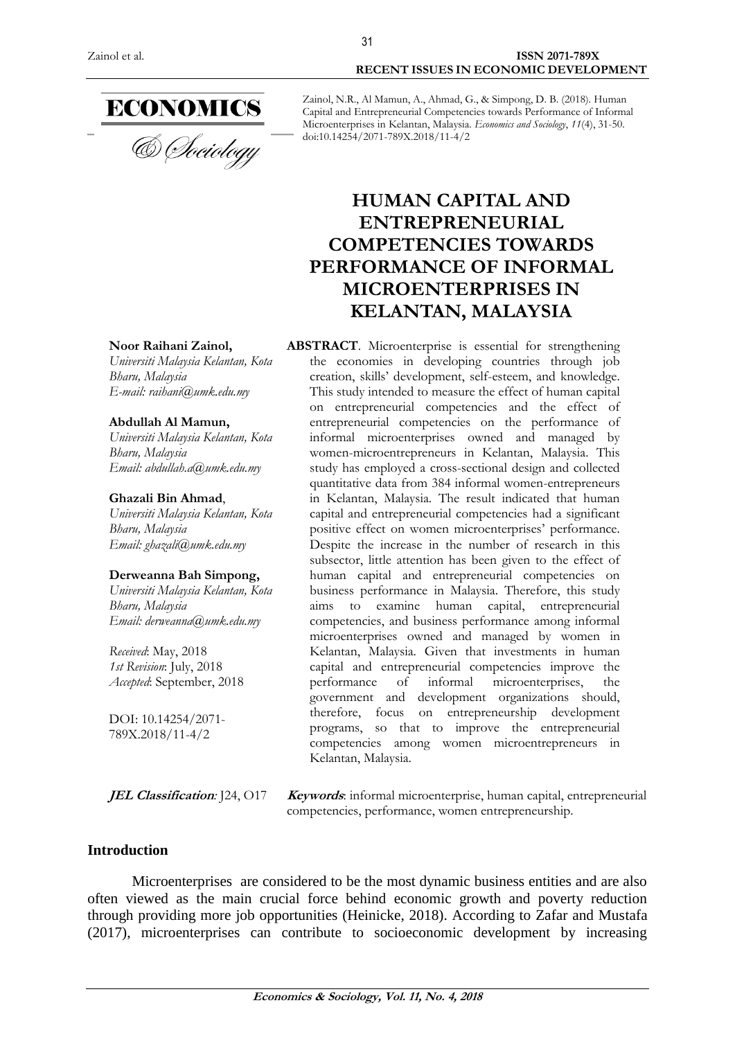**Noor Raihani Zainol,**

**Abdullah Al Mamun,**

**Ghazali Bin Ahmad**,

*Email: [ghazali@umk.edu.my](mailto:ghazali@umk.edu.my)*

**Derweanna Bah Simpong,** *Universiti Malaysia Kelantan, Kota* 

*Email: [derweanna@umk.edu.my](mailto:derweanna@umk.edu.my)*

*Bharu, Malaysia*

*Bharu, Malaysia*

*Bharu, Malaysia*

*Bharu, Malaysia*

*Received*: May, 2018 *1st Revision*: July, 2018 *Accepted*: September, 2018

DOI: 10.14254/2071- 789X.2018/11-4/2

*Universiti Malaysia Kelantan, Kota* 

*Universiti Malaysia Kelantan, Kota* 

*Universiti Malaysia Kelantan, Kota* 

*Email: [abdullah.a@umk.edu.my](mailto:abdullah.a@umk.edu.my)*

*E-mail: raihani@umk.edu.my*

Zainol, N.R., Al Mamun, A., Ahmad, G., & Simpong, D. B. (2018). Human Capital and Entrepreneurial Competencies towards Performance of Informal Microenterprises in Kelantan, Malaysia. *Economics and Sociology*, *11*(4), 31-50. doi:10.14254/2071-789X.2018/11-4/2

# **HUMAN CAPITAL AND ENTREPRENEURIAL COMPETENCIES TOWARDS PERFORMANCE OF INFORMAL MICROENTERPRISES IN KELANTAN, MALAYSIA**

**ABSTRACT**. Microenterprise is essential for strengthening the economies in developing countries through job creation, skills' development, self-esteem, and knowledge. This study intended to measure the effect of human capital on entrepreneurial competencies and the effect of entrepreneurial competencies on the performance of informal microenterprises owned and managed by women-microentrepreneurs in Kelantan, Malaysia. This study has employed a cross-sectional design and collected quantitative data from 384 informal women-entrepreneurs in Kelantan, Malaysia. The result indicated that human capital and entrepreneurial competencies had a significant positive effect on women microenterprises' performance. Despite the increase in the number of research in this subsector, little attention has been given to the effect of human capital and entrepreneurial competencies on business performance in Malaysia. Therefore, this study aims to examine human capital, entrepreneurial competencies, and business performance among informal microenterprises owned and managed by women in Kelantan, Malaysia. Given that investments in human capital and entrepreneurial competencies improve the performance of informal microenterprises, the government and development organizations should, therefore, focus on entrepreneurship development programs, so that to improve the entrepreneurial competencies among women microentrepreneurs in Kelantan, Malaysia.

**JEL Classification***:* J24, O17 **Keywords**: informal microenterprise, human capital, entrepreneurial competencies, performance, women entrepreneurship.

## **Introduction**

Microenterprises are considered to be the most dynamic business entities and are also often viewed as the main crucial force behind economic growth and poverty reduction through providing more job opportunities (Heinicke, 2018). According to Zafar and Mustafa (2017), microenterprises can contribute to socioeconomic development by increasing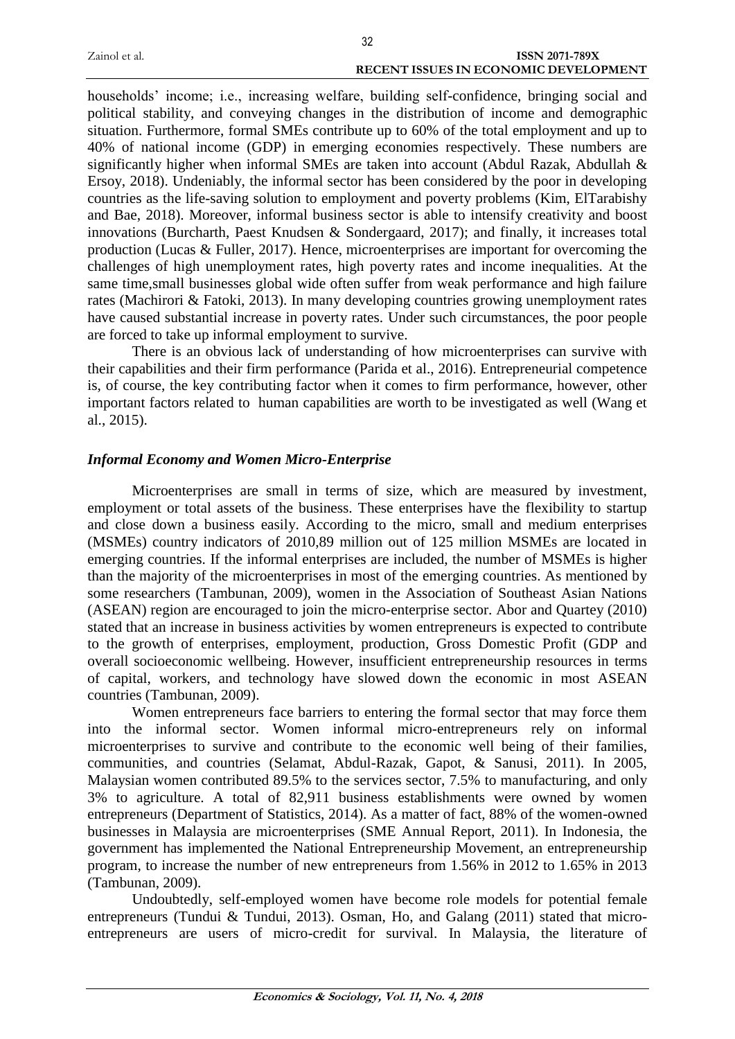|               | 32                                           |  |
|---------------|----------------------------------------------|--|
| Zainol et al. | <b>ISSN 2071-789X</b>                        |  |
|               | <b>RECENT ISSUES IN ECONOMIC DEVELOPMENT</b> |  |

households' income; i.e., increasing welfare, building self-confidence, bringing social and political stability, and conveying changes in the distribution of income and demographic situation. Furthermore, formal SMEs contribute up to 60% of the total employment and up to 40% of national income (GDP) in emerging economies respectively. These numbers are significantly higher when informal SMEs are taken into account (Abdul Razak, Abdullah & Ersoy, 2018). Undeniably, the informal sector has been considered by the poor in developing countries as the life-saving solution to employment and poverty problems (Kim, ElTarabishy and Bae, 2018). Moreover, informal business sector is able to intensify creativity and boost innovations (Burcharth, Paest Knudsen & Sondergaard, 2017); and finally, it increases total production (Lucas & Fuller, 2017). Hence, microenterprises are important for overcoming the challenges of high unemployment rates, high poverty rates and income inequalities. At the same time,small businesses global wide often suffer from weak performance and high failure rates (Machirori & Fatoki, 2013). In many developing countries growing unemployment rates have caused substantial increase in poverty rates. Under such circumstances, the poor people are forced to take up informal employment to survive.

There is an obvious lack of understanding of how microenterprises can survive with their capabilities and their firm performance (Parida et al., 2016). Entrepreneurial competence is, of course, the key contributing factor when it comes to firm performance, however, other important factors related to human capabilities are worth to be investigated as well (Wang et al., 2015).

## *Informal Economy and Women Micro-Enterprise*

Microenterprises are small in terms of size, which are measured by investment, employment or total assets of the business. These enterprises have the flexibility to startup and close down a business easily. According to the micro, small and medium enterprises (MSMEs) country indicators of 2010,89 million out of 125 million MSMEs are located in emerging countries. If the informal enterprises are included, the number of MSMEs is higher than the majority of the microenterprises in most of the emerging countries. As mentioned by some researchers (Tambunan, 2009), women in the Association of Southeast Asian Nations (ASEAN) region are encouraged to join the micro-enterprise sector. Abor and Quartey (2010) stated that an increase in business activities by women entrepreneurs is expected to contribute to the growth of enterprises, employment, production, Gross Domestic Profit (GDP and overall socioeconomic wellbeing. However, insufficient entrepreneurship resources in terms of capital, workers, and technology have slowed down the economic in most ASEAN countries (Tambunan, 2009).

Women entrepreneurs face barriers to entering the formal sector that may force them into the informal sector. Women informal micro-entrepreneurs rely on informal microenterprises to survive and contribute to the economic well being of their families, communities, and countries (Selamat, Abdul-Razak, Gapot, & Sanusi, 2011). In 2005, Malaysian women contributed 89.5% to the services sector, 7.5% to manufacturing, and only 3% to agriculture. A total of 82,911 business establishments were owned by women entrepreneurs (Department of Statistics, 2014). As a matter of fact, 88% of the women-owned businesses in Malaysia are microenterprises (SME Annual Report, 2011). In Indonesia, the government has implemented the National Entrepreneurship Movement, an entrepreneurship program, to increase the number of new entrepreneurs from 1.56% in 2012 to 1.65% in 2013 (Tambunan, 2009).

Undoubtedly, self-employed women have become role models for potential female entrepreneurs (Tundui & Tundui, 2013). Osman, Ho, and Galang (2011) stated that microentrepreneurs are users of micro-credit for survival. In Malaysia, the literature of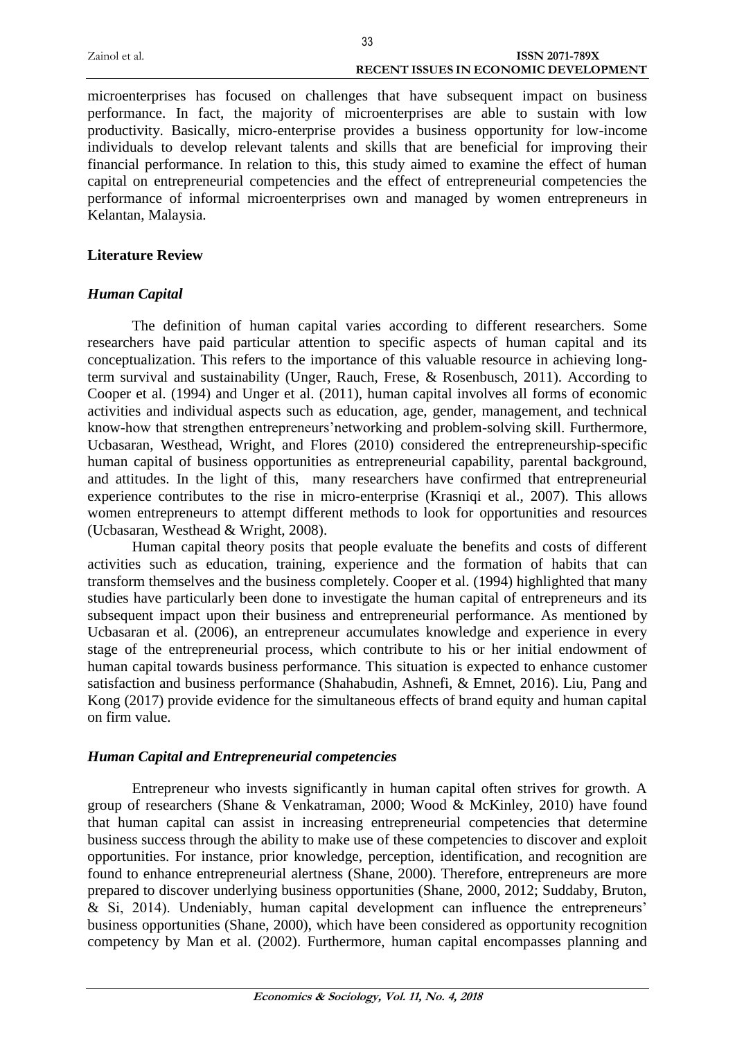microenterprises has focused on challenges that have subsequent impact on business performance. In fact, the majority of microenterprises are able to sustain with low productivity. Basically, micro-enterprise provides a business opportunity for low-income individuals to develop relevant talents and skills that are beneficial for improving their financial performance. In relation to this, this study aimed to examine the effect of human capital on entrepreneurial competencies and the effect of entrepreneurial competencies the performance of informal microenterprises own and managed by women entrepreneurs in Kelantan, Malaysia.

## **Literature Review**

# *Human Capital*

The definition of human capital varies according to different researchers. Some researchers have paid particular attention to specific aspects of human capital and its conceptualization. This refers to the importance of this valuable resource in achieving longterm survival and sustainability (Unger, Rauch, Frese, & Rosenbusch, 2011). According to Cooper et al. (1994) and Unger et al. (2011), human capital involves all forms of economic activities and individual aspects such as education, age, gender, management, and technical know-how that strengthen entrepreneurs'networking and problem-solving skill. Furthermore, Ucbasaran, Westhead, Wright, and Flores (2010) considered the entrepreneurship-specific human capital of business opportunities as entrepreneurial capability, parental background, and attitudes. In the light of this, many researchers have confirmed that entrepreneurial experience contributes to the rise in micro-enterprise (Krasniqi et al., 2007). This allows women entrepreneurs to attempt different methods to look for opportunities and resources (Ucbasaran, Westhead & Wright, 2008).

Human capital theory posits that people evaluate the benefits and costs of different activities such as education, training, experience and the formation of habits that can transform themselves and the business completely. Cooper et al. (1994) highlighted that many studies have particularly been done to investigate the human capital of entrepreneurs and its subsequent impact upon their business and entrepreneurial performance. As mentioned by Ucbasaran et al. (2006), an entrepreneur accumulates knowledge and experience in every stage of the entrepreneurial process, which contribute to his or her initial endowment of human capital towards business performance. This situation is expected to enhance customer satisfaction and business performance (Shahabudin, Ashnefi, & Emnet, 2016). Liu, Pang and Kong (2017) provide evidence for the simultaneous effects of brand equity and human capital on firm value.

## *Human Capital and Entrepreneurial competencies*

Entrepreneur who invests significantly in human capital often strives for growth. A group of researchers (Shane & Venkatraman, 2000; Wood & McKinley, 2010) have found that human capital can assist in increasing entrepreneurial competencies that determine business success through the ability to make use of these competencies to discover and exploit opportunities. For instance, prior knowledge, perception, identification, and recognition are found to enhance entrepreneurial alertness (Shane, 2000). Therefore, entrepreneurs are more prepared to discover underlying business opportunities (Shane, 2000, 2012; Suddaby, Bruton, & Si, 2014). Undeniably, human capital development can influence the entrepreneurs' business opportunities (Shane, 2000), which have been considered as opportunity recognition competency by Man et al. (2002). Furthermore, human capital encompasses planning and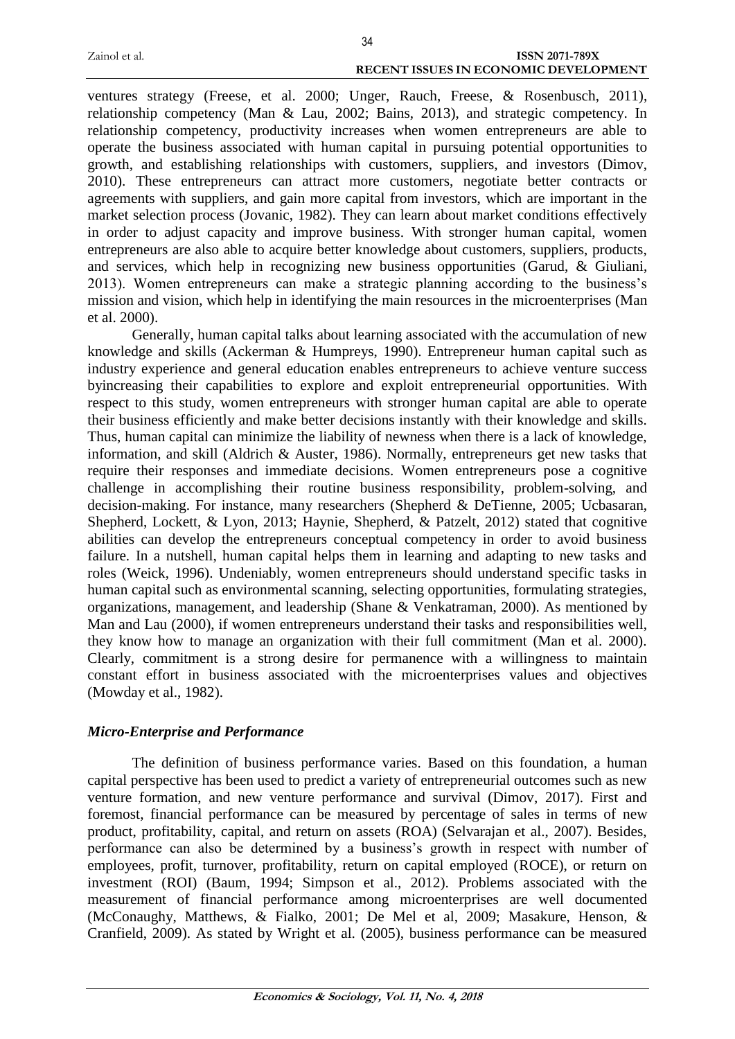ventures strategy (Freese, et al. 2000; Unger, Rauch, Freese, & Rosenbusch, 2011), relationship competency (Man & Lau, 2002; Bains, 2013), and strategic competency. In relationship competency, productivity increases when women entrepreneurs are able to operate the business associated with human capital in pursuing potential opportunities to growth, and establishing relationships with customers, suppliers, and investors (Dimov, 2010). These entrepreneurs can attract more customers, negotiate better contracts or agreements with suppliers, and gain more capital from investors, which are important in the market selection process (Jovanic, 1982). They can learn about market conditions effectively in order to adjust capacity and improve business. With stronger human capital, women entrepreneurs are also able to acquire better knowledge about customers, suppliers, products, and services, which help in recognizing new business opportunities (Garud, & Giuliani, 2013). Women entrepreneurs can make a strategic planning according to the business's mission and vision, which help in identifying the main resources in the microenterprises (Man et al. 2000).

Generally, human capital talks about learning associated with the accumulation of new knowledge and skills (Ackerman & Humpreys, 1990). Entrepreneur human capital such as industry experience and general education enables entrepreneurs to achieve venture success byincreasing their capabilities to explore and exploit entrepreneurial opportunities. With respect to this study, women entrepreneurs with stronger human capital are able to operate their business efficiently and make better decisions instantly with their knowledge and skills. Thus, human capital can minimize the liability of newness when there is a lack of knowledge, information, and skill (Aldrich & Auster, 1986). Normally, entrepreneurs get new tasks that require their responses and immediate decisions. Women entrepreneurs pose a cognitive challenge in accomplishing their routine business responsibility, problem-solving, and decision-making. For instance, many researchers (Shepherd & DeTienne, 2005; Ucbasaran, Shepherd, Lockett, & Lyon, 2013; Haynie, Shepherd, & Patzelt, 2012) stated that cognitive abilities can develop the entrepreneurs conceptual competency in order to avoid business failure. In a nutshell, human capital helps them in learning and adapting to new tasks and roles (Weick, 1996). Undeniably, women entrepreneurs should understand specific tasks in human capital such as environmental scanning, selecting opportunities, formulating strategies, organizations, management, and leadership (Shane & Venkatraman, 2000). As mentioned by Man and Lau (2000), if women entrepreneurs understand their tasks and responsibilities well, they know how to manage an organization with their full commitment (Man et al. 2000). Clearly, commitment is a strong desire for permanence with a willingness to maintain constant effort in business associated with the microenterprises values and objectives (Mowday et al., 1982).

# *Micro-Enterprise and Performance*

The definition of business performance varies. Based on this foundation, a human capital perspective has been used to predict a variety of entrepreneurial outcomes such as new venture formation, and new venture performance and survival (Dimov, 2017). First and foremost, financial performance can be measured by percentage of sales in terms of new product, profitability, capital, and return on assets (ROA) (Selvarajan et al., 2007). Besides, performance can also be determined by a business's growth in respect with number of employees, profit, turnover, profitability, return on capital employed (ROCE), or return on investment (ROI) (Baum, 1994; Simpson et al., 2012). Problems associated with the measurement of financial performance among microenterprises are well documented (McConaughy, Matthews, & Fialko, 2001; De Mel et al, 2009; Masakure, Henson, & Cranfield, 2009). As stated by Wright et al. (2005), business performance can be measured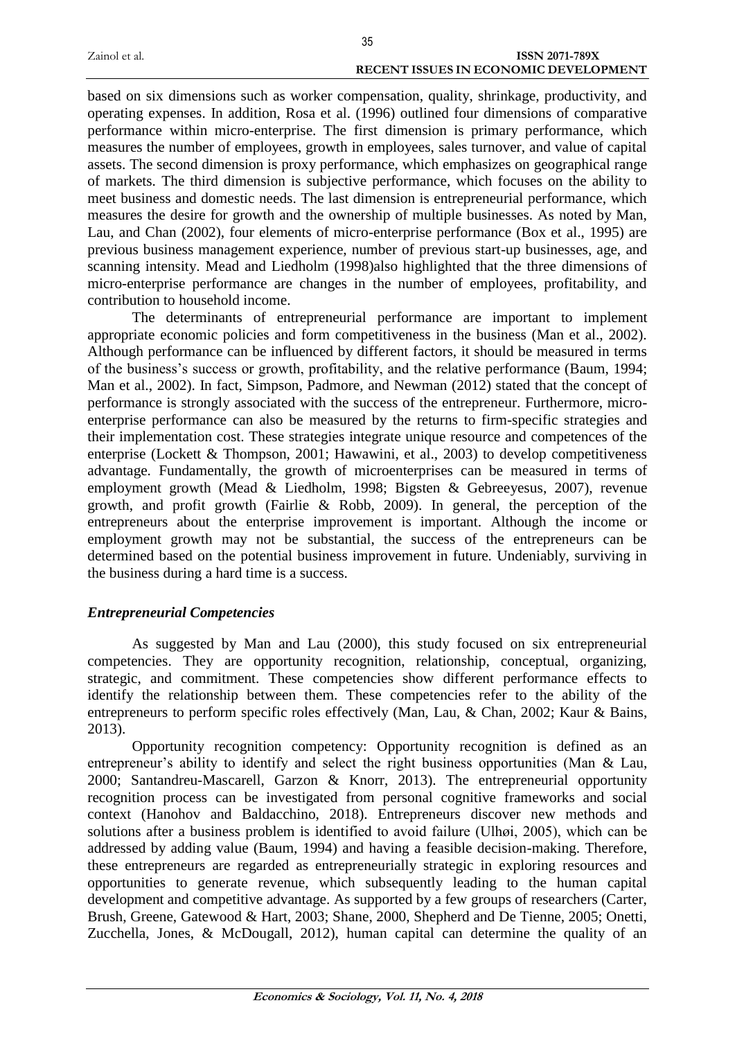|               | 35                                           |
|---------------|----------------------------------------------|
| Zainol et al. | <b>ISSN 2071-789X</b>                        |
|               | <b>RECENT ISSUES IN ECONOMIC DEVELOPMENT</b> |

based on six dimensions such as worker compensation, quality, shrinkage, productivity, and operating expenses. In addition, Rosa et al. (1996) outlined four dimensions of comparative performance within micro-enterprise. The first dimension is primary performance, which measures the number of employees, growth in employees, sales turnover, and value of capital assets. The second dimension is proxy performance, which emphasizes on geographical range of markets. The third dimension is subjective performance, which focuses on the ability to meet business and domestic needs. The last dimension is entrepreneurial performance, which measures the desire for growth and the ownership of multiple businesses. As noted by Man, Lau, and Chan (2002), four elements of micro-enterprise performance (Box et al., 1995) are previous business management experience, number of previous start-up businesses, age, and scanning intensity. Mead and Liedholm (1998)also highlighted that the three dimensions of micro-enterprise performance are changes in the number of employees, profitability, and contribution to household income.

The determinants of entrepreneurial performance are important to implement appropriate economic policies and form competitiveness in the business (Man et al., 2002). Although performance can be influenced by different factors, it should be measured in terms of the business's success or growth, profitability, and the relative performance (Baum, 1994; Man et al., 2002). In fact, Simpson, Padmore, and Newman (2012) stated that the concept of performance is strongly associated with the success of the entrepreneur. Furthermore, microenterprise performance can also be measured by the returns to firm-specific strategies and their implementation cost. These strategies integrate unique resource and competences of the enterprise (Lockett & Thompson, 2001; Hawawini, et al., 2003) to develop competitiveness advantage. Fundamentally, the growth of microenterprises can be measured in terms of employment growth (Mead & Liedholm, 1998; Bigsten & Gebreeyesus, 2007), revenue growth, and profit growth (Fairlie & Robb, 2009). In general, the perception of the entrepreneurs about the enterprise improvement is important. Although the income or employment growth may not be substantial, the success of the entrepreneurs can be determined based on the potential business improvement in future. Undeniably, surviving in the business during a hard time is a success.

## *Entrepreneurial Competencies*

As suggested by Man and Lau (2000), this study focused on six entrepreneurial competencies. They are opportunity recognition, relationship, conceptual, organizing, strategic, and commitment. These competencies show different performance effects to identify the relationship between them. These competencies refer to the ability of the entrepreneurs to perform specific roles effectively (Man, Lau, & Chan, 2002; Kaur & Bains, 2013).

Opportunity recognition competency: Opportunity recognition is defined as an entrepreneur's ability to identify and select the right business opportunities (Man & Lau, 2000; Santandreu-Mascarell, Garzon & Knorr, 2013). The entrepreneurial opportunity recognition process can be investigated from personal cognitive frameworks and social context (Hanohov and Baldacchino, 2018). Entrepreneurs discover new methods and solutions after a business problem is identified to avoid failure (Ulhøi, 2005), which can be addressed by adding value (Baum, 1994) and having a feasible decision-making. Therefore, these entrepreneurs are regarded as entrepreneurially strategic in exploring resources and opportunities to generate revenue, which subsequently leading to the human capital development and competitive advantage. As supported by a few groups of researchers (Carter, Brush, Greene, Gatewood & Hart, 2003; Shane, 2000, Shepherd and De Tienne, 2005; Onetti, Zucchella, Jones, & McDougall, 2012), human capital can determine the quality of an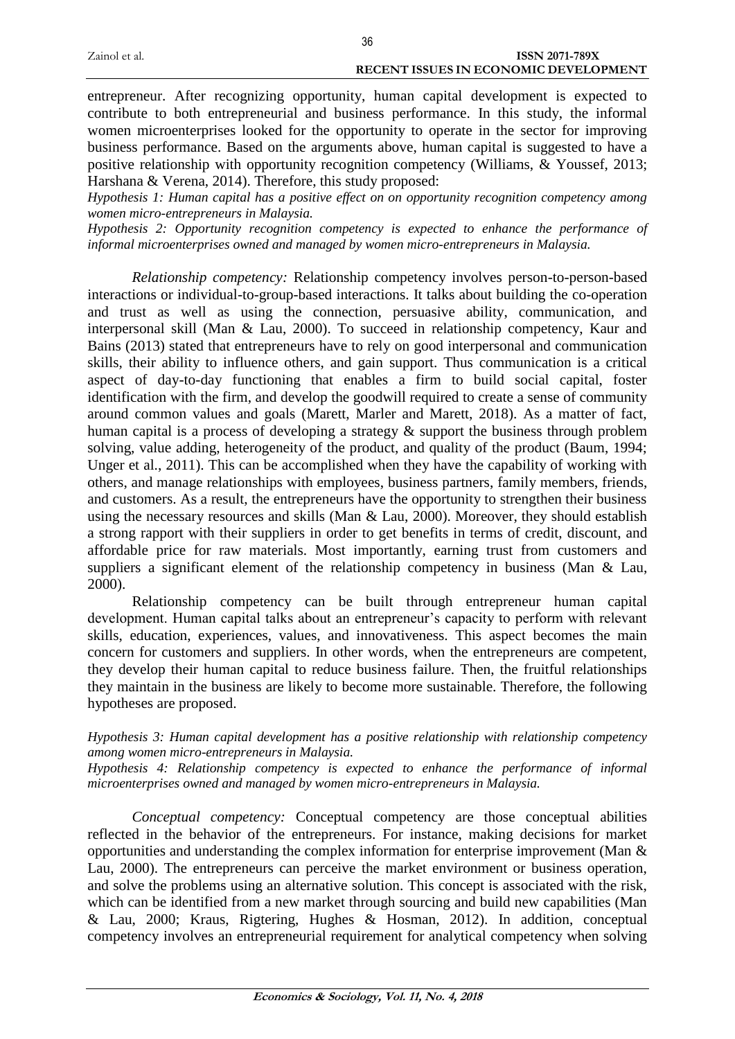|               | 36                                    |  |
|---------------|---------------------------------------|--|
| Zainol et al. | ISSN 2071-789X                        |  |
|               | RECENT ISSUES IN ECONOMIC DEVELOPMENT |  |

entrepreneur. After recognizing opportunity, human capital development is expected to contribute to both entrepreneurial and business performance. In this study, the informal women microenterprises looked for the opportunity to operate in the sector for improving business performance. Based on the arguments above, human capital is suggested to have a positive relationship with opportunity recognition competency (Williams, & Youssef, 2013; Harshana & Verena, 2014). Therefore, this study proposed:

*Hypothesis 1: Human capital has a positive effect on on opportunity recognition competency among women micro-entrepreneurs in Malaysia.*

*Hypothesis 2: Opportunity recognition competency is expected to enhance the performance of informal microenterprises owned and managed by women micro-entrepreneurs in Malaysia.*

*Relationship competency:* Relationship competency involves person-to-person-based interactions or individual-to-group-based interactions. It talks about building the co-operation and trust as well as using the connection, persuasive ability, communication, and interpersonal skill (Man & Lau, 2000). To succeed in relationship competency, Kaur and Bains (2013) stated that entrepreneurs have to rely on good interpersonal and communication skills, their ability to influence others, and gain support. Thus communication is a critical aspect of day-to-day functioning that enables a firm to build social capital, foster identification with the firm, and develop the goodwill required to create a sense of community around common values and goals (Marett, Marler and Marett, 2018). As a matter of fact, human capital is a process of developing a strategy & support the business through problem solving, value adding, heterogeneity of the product, and quality of the product (Baum, 1994; Unger et al., 2011). This can be accomplished when they have the capability of working with others, and manage relationships with employees, business partners, family members, friends, and customers. As a result, the entrepreneurs have the opportunity to strengthen their business using the necessary resources and skills (Man & Lau, 2000). Moreover, they should establish a strong rapport with their suppliers in order to get benefits in terms of credit, discount, and affordable price for raw materials. Most importantly, earning trust from customers and suppliers a significant element of the relationship competency in business (Man & Lau, 2000).

Relationship competency can be built through entrepreneur human capital development. Human capital talks about an entrepreneur's capacity to perform with relevant skills, education, experiences, values, and innovativeness. This aspect becomes the main concern for customers and suppliers. In other words, when the entrepreneurs are competent, they develop their human capital to reduce business failure. Then, the fruitful relationships they maintain in the business are likely to become more sustainable. Therefore, the following hypotheses are proposed.

## *Hypothesis 3: Human capital development has a positive relationship with relationship competency among women micro-entrepreneurs in Malaysia.*

*Hypothesis 4: Relationship competency is expected to enhance the performance of informal microenterprises owned and managed by women micro-entrepreneurs in Malaysia.*

*Conceptual competency:* Conceptual competency are those conceptual abilities reflected in the behavior of the entrepreneurs. For instance, making decisions for market opportunities and understanding the complex information for enterprise improvement (Man & Lau, 2000). The entrepreneurs can perceive the market environment or business operation, and solve the problems using an alternative solution. This concept is associated with the risk, which can be identified from a new market through sourcing and build new capabilities (Man & Lau, 2000; Kraus, Rigtering, Hughes & Hosman, 2012). In addition, conceptual competency involves an entrepreneurial requirement for analytical competency when solving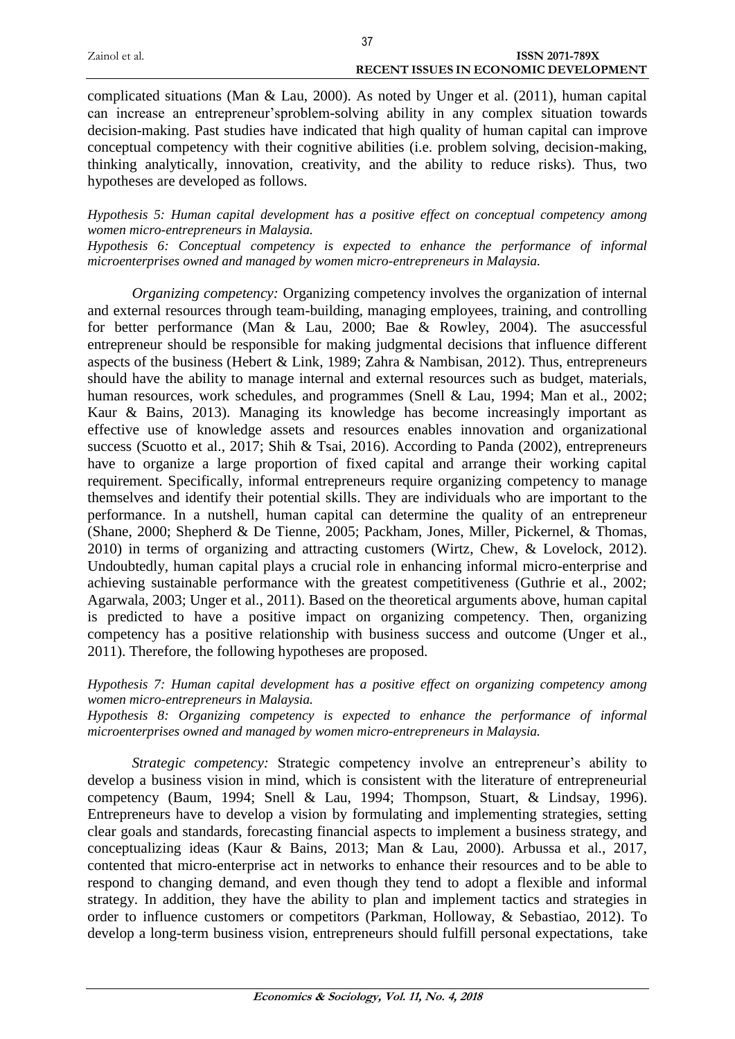| Zainol et al. |                                       | ISSN 2071-789X |
|---------------|---------------------------------------|----------------|
|               | RECENT ISSUES IN ECONOMIC DEVELOPMENT |                |

complicated situations (Man & Lau, 2000). As noted by Unger et al. (2011), human capital can increase an entrepreneur'sproblem-solving ability in any complex situation towards decision-making. Past studies have indicated that high quality of human capital can improve conceptual competency with their cognitive abilities (i.e. problem solving, decision-making, thinking analytically, innovation, creativity, and the ability to reduce risks). Thus, two hypotheses are developed as follows.

*Hypothesis 5: Human capital development has a positive effect on conceptual competency among women micro-entrepreneurs in Malaysia.*

*Hypothesis 6: Conceptual competency is expected to enhance the performance of informal microenterprises owned and managed by women micro-entrepreneurs in Malaysia.*

*Organizing competency:* Organizing competency involves the organization of internal and external resources through team-building, managing employees, training, and controlling for better performance (Man & Lau, 2000; Bae & Rowley, 2004). The asuccessful entrepreneur should be responsible for making judgmental decisions that influence different aspects of the business (Hebert & Link, 1989; Zahra & Nambisan, 2012). Thus, entrepreneurs should have the ability to manage internal and external resources such as budget, materials, human resources, work schedules, and programmes (Snell & Lau, 1994; Man et al., 2002; Kaur & Bains, 2013). Managing its knowledge has become increasingly important as effective use of knowledge assets and resources enables innovation and organizational success (Scuotto et al., 2017; Shih & Tsai, 2016). According to Panda (2002), entrepreneurs have to organize a large proportion of fixed capital and arrange their working capital requirement. Specifically, informal entrepreneurs require organizing competency to manage themselves and identify their potential skills. They are individuals who are important to the performance. In a nutshell, human capital can determine the quality of an entrepreneur (Shane, 2000; Shepherd & De Tienne, 2005; Packham, Jones, Miller, Pickernel, & Thomas, 2010) in terms of organizing and attracting customers (Wirtz, Chew, & Lovelock, 2012). Undoubtedly, human capital plays a crucial role in enhancing informal micro-enterprise and achieving sustainable performance with the greatest competitiveness (Guthrie et al., 2002; Agarwala, 2003; Unger et al., 2011). Based on the theoretical arguments above, human capital is predicted to have a positive impact on organizing competency. Then, organizing competency has a positive relationship with business success and outcome (Unger et al., 2011). Therefore, the following hypotheses are proposed.

*Hypothesis 7: Human capital development has a positive effect on organizing competency among women micro-entrepreneurs in Malaysia.*

*Hypothesis 8: Organizing competency is expected to enhance the performance of informal microenterprises owned and managed by women micro-entrepreneurs in Malaysia.*

*Strategic competency:* Strategic competency involve an entrepreneur's ability to develop a business vision in mind, which is consistent with the literature of entrepreneurial competency (Baum, 1994; Snell & Lau, 1994; Thompson, Stuart, & Lindsay, 1996). Entrepreneurs have to develop a vision by formulating and implementing strategies, setting clear goals and standards, forecasting financial aspects to implement a business strategy, and conceptualizing ideas (Kaur & Bains, 2013; Man & Lau, 2000). Arbussa et al., 2017, contented that micro-enterprise act in networks to enhance their resources and to be able to respond to changing demand, and even though they tend to adopt a flexible and informal strategy. In addition, they have the ability to plan and implement tactics and strategies in order to influence customers or competitors (Parkman, Holloway, & Sebastiao, 2012). To develop a long-term business vision, entrepreneurs should fulfill personal expectations, take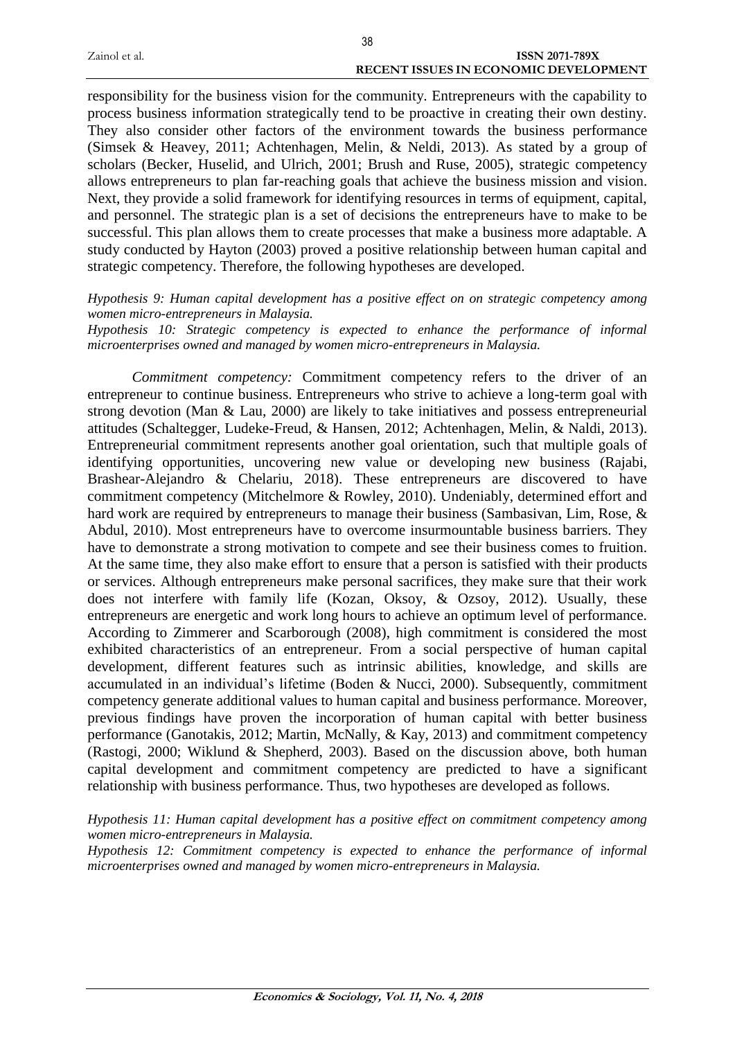|               | 38                                           |  |
|---------------|----------------------------------------------|--|
| Zainol et al. | <b>ISSN 2071-789X</b>                        |  |
|               | <b>RECENT ISSUES IN ECONOMIC DEVELOPMENT</b> |  |

responsibility for the business vision for the community. Entrepreneurs with the capability to process business information strategically tend to be proactive in creating their own destiny. They also consider other factors of the environment towards the business performance (Simsek & Heavey, 2011; Achtenhagen, Melin, & Neldi, 2013). As stated by a group of scholars (Becker, Huselid, and Ulrich, 2001; Brush and Ruse, 2005), strategic competency allows entrepreneurs to plan far-reaching goals that achieve the business mission and vision. Next, they provide a solid framework for identifying resources in terms of equipment, capital, and personnel. The strategic plan is a set of decisions the entrepreneurs have to make to be successful. This plan allows them to create processes that make a business more adaptable. A study conducted by Hayton (2003) proved a positive relationship between human capital and strategic competency. Therefore, the following hypotheses are developed.

#### *Hypothesis 9: Human capital development has a positive effect on on strategic competency among women micro-entrepreneurs in Malaysia.*

*Hypothesis 10: Strategic competency is expected to enhance the performance of informal microenterprises owned and managed by women micro-entrepreneurs in Malaysia.*

*Commitment competency:* Commitment competency refers to the driver of an entrepreneur to continue business. Entrepreneurs who strive to achieve a long-term goal with strong devotion (Man & Lau, 2000) are likely to take initiatives and possess entrepreneurial attitudes (Schaltegger, Ludeke-Freud, & Hansen, 2012; Achtenhagen, Melin, & Naldi, 2013). Entrepreneurial commitment represents another goal orientation, such that multiple goals of identifying opportunities, uncovering new value or developing new business (Rajabi, Brashear-Alejandro & Chelariu, 2018). These entrepreneurs are discovered to have commitment competency (Mitchelmore & Rowley, 2010). Undeniably, determined effort and hard work are required by entrepreneurs to manage their business (Sambasivan, Lim, Rose, & Abdul, 2010). Most entrepreneurs have to overcome insurmountable business barriers. They have to demonstrate a strong motivation to compete and see their business comes to fruition. At the same time, they also make effort to ensure that a person is satisfied with their products or services. Although entrepreneurs make personal sacrifices, they make sure that their work does not interfere with family life (Kozan, Oksoy, & Ozsoy, 2012). Usually, these entrepreneurs are energetic and work long hours to achieve an optimum level of performance. According to Zimmerer and Scarborough (2008), high commitment is considered the most exhibited characteristics of an entrepreneur. From a social perspective of human capital development, different features such as intrinsic abilities, knowledge, and skills are accumulated in an individual's lifetime (Boden & Nucci, 2000). Subsequently, commitment competency generate additional values to human capital and business performance. Moreover, previous findings have proven the incorporation of human capital with better business performance (Ganotakis, 2012; Martin, McNally, & Kay, 2013) and commitment competency (Rastogi, 2000; Wiklund & Shepherd, 2003). Based on the discussion above, both human capital development and commitment competency are predicted to have a significant relationship with business performance. Thus, two hypotheses are developed as follows.

*Hypothesis 11: Human capital development has a positive effect on commitment competency among women micro-entrepreneurs in Malaysia.*

*Hypothesis 12: Commitment competency is expected to enhance the performance of informal microenterprises owned and managed by women micro-entrepreneurs in Malaysia.*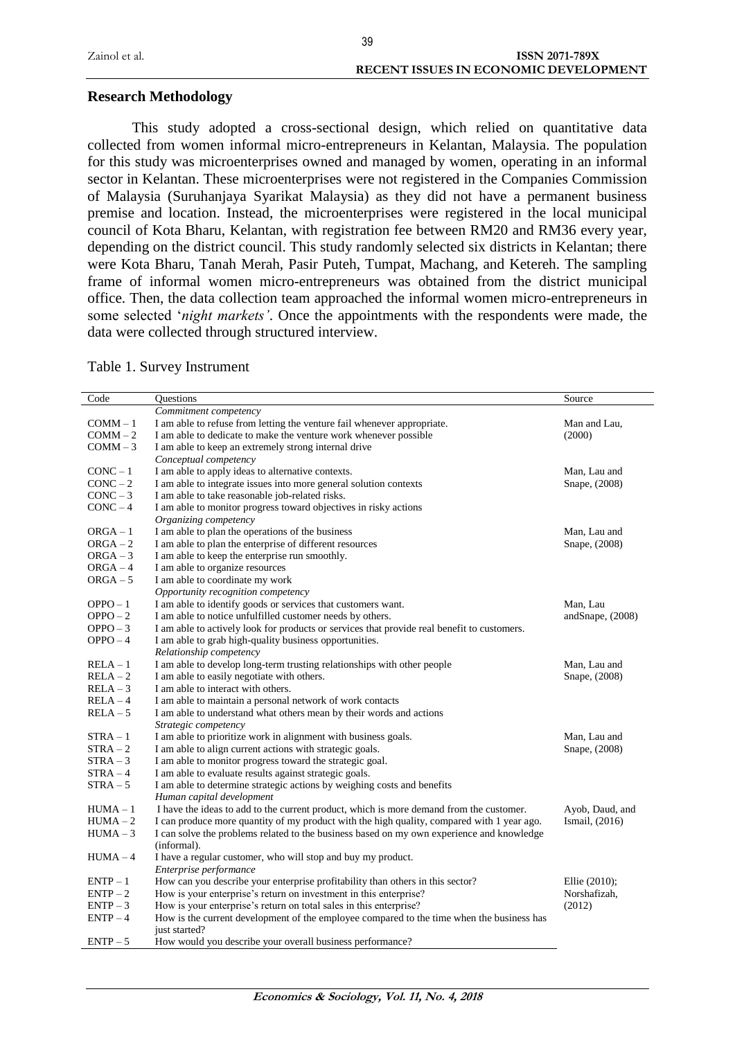| Zainol et al. | <b>ISSN 2071-789X</b>                        |
|---------------|----------------------------------------------|
|               | <b>RECENT ISSUES IN ECONOMIC DEVELOPMENT</b> |
|               |                                              |

39

#### **Research Methodology**

This study adopted a cross-sectional design, which relied on quantitative data collected from women informal micro-entrepreneurs in Kelantan, Malaysia. The population for this study was microenterprises owned and managed by women, operating in an informal sector in Kelantan. These microenterprises were not registered in the Companies Commission of Malaysia (Suruhanjaya Syarikat Malaysia) as they did not have a permanent business premise and location. Instead, the microenterprises were registered in the local municipal council of Kota Bharu, Kelantan, with registration fee between RM20 and RM36 every year, depending on the district council. This study randomly selected six districts in Kelantan; there were Kota Bharu, Tanah Merah, Pasir Puteh, Tumpat, Machang, and Ketereh. The sampling frame of informal women micro-entrepreneurs was obtained from the district municipal office. Then, the data collection team approached the informal women micro-entrepreneurs in some selected '*night markets'*. Once the appointments with the respondents were made, the data were collected through structured interview.

Table 1. Survey Instrument

| Commitment competency<br>I am able to refuse from letting the venture fail whenever appropriate.<br>$COMM-1$<br>Man and Lau,<br>I am able to dedicate to make the venture work whenever possible<br>(2000)<br>$COMM - 2$<br>$COMM - 3$<br>I am able to keep an extremely strong internal drive<br>Conceptual competency<br>I am able to apply ideas to alternative contexts.<br>$CONC-1$<br>Man, Lau and<br>$CONC-2$<br>I am able to integrate issues into more general solution contexts<br>Snape, (2008)<br>$CONC-3$<br>I am able to take reasonable job-related risks.<br>$CONC - 4$<br>I am able to monitor progress toward objectives in risky actions<br>Organizing competency<br>I am able to plan the operations of the business<br>$ORGA - 1$<br>Man, Lau and<br>I am able to plan the enterprise of different resources<br>$ORGA - 2$<br>Snape, (2008)<br>$ORGA - 3$<br>I am able to keep the enterprise run smoothly.<br>I am able to organize resources<br>$ORGA - 4$<br>$ORGA - 5$<br>I am able to coordinate my work<br>Opportunity recognition competency<br>I am able to identify goods or services that customers want.<br>$OPPO-1$<br>Man, Lau<br>$OPPO-2$<br>I am able to notice unfulfilled customer needs by others.<br>and Snape, $(2008)$<br>I am able to actively look for products or services that provide real benefit to customers.<br>$OPPO-3$<br>$OPPO-4$<br>I am able to grab high-quality business opportunities.<br>Relationship competency<br>I am able to develop long-term trusting relationships with other people<br>$RELA - 1$<br>Man, Lau and<br>$RELA - 2$<br>I am able to easily negotiate with others.<br>Snape, (2008)<br>$RELA-3$<br>I am able to interact with others.<br>$RELA - 4$<br>I am able to maintain a personal network of work contacts<br>$RELA - 5$<br>I am able to understand what others mean by their words and actions<br>Strategic competency<br>I am able to prioritize work in alignment with business goals.<br>$STRA - 1$<br>Man, Lau and<br>I am able to align current actions with strategic goals.<br>$STRA - 2$<br>Snape, (2008)<br>$STRA - 3$<br>I am able to monitor progress toward the strategic goal.<br>I am able to evaluate results against strategic goals.<br>$STRA-4$<br>$STRA - 5$<br>I am able to determine strategic actions by weighing costs and benefits<br>Human capital development<br>$HUMA - 1$<br>I have the ideas to add to the current product, which is more demand from the customer.<br>Ayob, Daud, and<br>I can produce more quantity of my product with the high quality, compared with 1 year ago.<br>$HUMA - 2$<br>Ismail, (2016)<br>I can solve the problems related to the business based on my own experience and knowledge<br>$HUMA-3$<br>(informal).<br>I have a regular customer, who will stop and buy my product.<br>$HUMA - 4$<br>Enterprise performance<br>How can you describe your enterprise profitability than others in this sector?<br>$ENTP-1$<br>Ellie (2010); | Code | Questions | Source |
|----------------------------------------------------------------------------------------------------------------------------------------------------------------------------------------------------------------------------------------------------------------------------------------------------------------------------------------------------------------------------------------------------------------------------------------------------------------------------------------------------------------------------------------------------------------------------------------------------------------------------------------------------------------------------------------------------------------------------------------------------------------------------------------------------------------------------------------------------------------------------------------------------------------------------------------------------------------------------------------------------------------------------------------------------------------------------------------------------------------------------------------------------------------------------------------------------------------------------------------------------------------------------------------------------------------------------------------------------------------------------------------------------------------------------------------------------------------------------------------------------------------------------------------------------------------------------------------------------------------------------------------------------------------------------------------------------------------------------------------------------------------------------------------------------------------------------------------------------------------------------------------------------------------------------------------------------------------------------------------------------------------------------------------------------------------------------------------------------------------------------------------------------------------------------------------------------------------------------------------------------------------------------------------------------------------------------------------------------------------------------------------------------------------------------------------------------------------------------------------------------------------------------------------------------------------------------------------------------------------------------------------------------------------------------------------------------------------------------------------------------------------------------------------------------------------------------------------------------------------------------------------------------------------------------------------------------------------------------------------|------|-----------|--------|
|                                                                                                                                                                                                                                                                                                                                                                                                                                                                                                                                                                                                                                                                                                                                                                                                                                                                                                                                                                                                                                                                                                                                                                                                                                                                                                                                                                                                                                                                                                                                                                                                                                                                                                                                                                                                                                                                                                                                                                                                                                                                                                                                                                                                                                                                                                                                                                                                                                                                                                                                                                                                                                                                                                                                                                                                                                                                                                                                                                                        |      |           |        |
|                                                                                                                                                                                                                                                                                                                                                                                                                                                                                                                                                                                                                                                                                                                                                                                                                                                                                                                                                                                                                                                                                                                                                                                                                                                                                                                                                                                                                                                                                                                                                                                                                                                                                                                                                                                                                                                                                                                                                                                                                                                                                                                                                                                                                                                                                                                                                                                                                                                                                                                                                                                                                                                                                                                                                                                                                                                                                                                                                                                        |      |           |        |
|                                                                                                                                                                                                                                                                                                                                                                                                                                                                                                                                                                                                                                                                                                                                                                                                                                                                                                                                                                                                                                                                                                                                                                                                                                                                                                                                                                                                                                                                                                                                                                                                                                                                                                                                                                                                                                                                                                                                                                                                                                                                                                                                                                                                                                                                                                                                                                                                                                                                                                                                                                                                                                                                                                                                                                                                                                                                                                                                                                                        |      |           |        |
|                                                                                                                                                                                                                                                                                                                                                                                                                                                                                                                                                                                                                                                                                                                                                                                                                                                                                                                                                                                                                                                                                                                                                                                                                                                                                                                                                                                                                                                                                                                                                                                                                                                                                                                                                                                                                                                                                                                                                                                                                                                                                                                                                                                                                                                                                                                                                                                                                                                                                                                                                                                                                                                                                                                                                                                                                                                                                                                                                                                        |      |           |        |
|                                                                                                                                                                                                                                                                                                                                                                                                                                                                                                                                                                                                                                                                                                                                                                                                                                                                                                                                                                                                                                                                                                                                                                                                                                                                                                                                                                                                                                                                                                                                                                                                                                                                                                                                                                                                                                                                                                                                                                                                                                                                                                                                                                                                                                                                                                                                                                                                                                                                                                                                                                                                                                                                                                                                                                                                                                                                                                                                                                                        |      |           |        |
|                                                                                                                                                                                                                                                                                                                                                                                                                                                                                                                                                                                                                                                                                                                                                                                                                                                                                                                                                                                                                                                                                                                                                                                                                                                                                                                                                                                                                                                                                                                                                                                                                                                                                                                                                                                                                                                                                                                                                                                                                                                                                                                                                                                                                                                                                                                                                                                                                                                                                                                                                                                                                                                                                                                                                                                                                                                                                                                                                                                        |      |           |        |
|                                                                                                                                                                                                                                                                                                                                                                                                                                                                                                                                                                                                                                                                                                                                                                                                                                                                                                                                                                                                                                                                                                                                                                                                                                                                                                                                                                                                                                                                                                                                                                                                                                                                                                                                                                                                                                                                                                                                                                                                                                                                                                                                                                                                                                                                                                                                                                                                                                                                                                                                                                                                                                                                                                                                                                                                                                                                                                                                                                                        |      |           |        |
|                                                                                                                                                                                                                                                                                                                                                                                                                                                                                                                                                                                                                                                                                                                                                                                                                                                                                                                                                                                                                                                                                                                                                                                                                                                                                                                                                                                                                                                                                                                                                                                                                                                                                                                                                                                                                                                                                                                                                                                                                                                                                                                                                                                                                                                                                                                                                                                                                                                                                                                                                                                                                                                                                                                                                                                                                                                                                                                                                                                        |      |           |        |
|                                                                                                                                                                                                                                                                                                                                                                                                                                                                                                                                                                                                                                                                                                                                                                                                                                                                                                                                                                                                                                                                                                                                                                                                                                                                                                                                                                                                                                                                                                                                                                                                                                                                                                                                                                                                                                                                                                                                                                                                                                                                                                                                                                                                                                                                                                                                                                                                                                                                                                                                                                                                                                                                                                                                                                                                                                                                                                                                                                                        |      |           |        |
|                                                                                                                                                                                                                                                                                                                                                                                                                                                                                                                                                                                                                                                                                                                                                                                                                                                                                                                                                                                                                                                                                                                                                                                                                                                                                                                                                                                                                                                                                                                                                                                                                                                                                                                                                                                                                                                                                                                                                                                                                                                                                                                                                                                                                                                                                                                                                                                                                                                                                                                                                                                                                                                                                                                                                                                                                                                                                                                                                                                        |      |           |        |
|                                                                                                                                                                                                                                                                                                                                                                                                                                                                                                                                                                                                                                                                                                                                                                                                                                                                                                                                                                                                                                                                                                                                                                                                                                                                                                                                                                                                                                                                                                                                                                                                                                                                                                                                                                                                                                                                                                                                                                                                                                                                                                                                                                                                                                                                                                                                                                                                                                                                                                                                                                                                                                                                                                                                                                                                                                                                                                                                                                                        |      |           |        |
|                                                                                                                                                                                                                                                                                                                                                                                                                                                                                                                                                                                                                                                                                                                                                                                                                                                                                                                                                                                                                                                                                                                                                                                                                                                                                                                                                                                                                                                                                                                                                                                                                                                                                                                                                                                                                                                                                                                                                                                                                                                                                                                                                                                                                                                                                                                                                                                                                                                                                                                                                                                                                                                                                                                                                                                                                                                                                                                                                                                        |      |           |        |
|                                                                                                                                                                                                                                                                                                                                                                                                                                                                                                                                                                                                                                                                                                                                                                                                                                                                                                                                                                                                                                                                                                                                                                                                                                                                                                                                                                                                                                                                                                                                                                                                                                                                                                                                                                                                                                                                                                                                                                                                                                                                                                                                                                                                                                                                                                                                                                                                                                                                                                                                                                                                                                                                                                                                                                                                                                                                                                                                                                                        |      |           |        |
|                                                                                                                                                                                                                                                                                                                                                                                                                                                                                                                                                                                                                                                                                                                                                                                                                                                                                                                                                                                                                                                                                                                                                                                                                                                                                                                                                                                                                                                                                                                                                                                                                                                                                                                                                                                                                                                                                                                                                                                                                                                                                                                                                                                                                                                                                                                                                                                                                                                                                                                                                                                                                                                                                                                                                                                                                                                                                                                                                                                        |      |           |        |
|                                                                                                                                                                                                                                                                                                                                                                                                                                                                                                                                                                                                                                                                                                                                                                                                                                                                                                                                                                                                                                                                                                                                                                                                                                                                                                                                                                                                                                                                                                                                                                                                                                                                                                                                                                                                                                                                                                                                                                                                                                                                                                                                                                                                                                                                                                                                                                                                                                                                                                                                                                                                                                                                                                                                                                                                                                                                                                                                                                                        |      |           |        |
|                                                                                                                                                                                                                                                                                                                                                                                                                                                                                                                                                                                                                                                                                                                                                                                                                                                                                                                                                                                                                                                                                                                                                                                                                                                                                                                                                                                                                                                                                                                                                                                                                                                                                                                                                                                                                                                                                                                                                                                                                                                                                                                                                                                                                                                                                                                                                                                                                                                                                                                                                                                                                                                                                                                                                                                                                                                                                                                                                                                        |      |           |        |
|                                                                                                                                                                                                                                                                                                                                                                                                                                                                                                                                                                                                                                                                                                                                                                                                                                                                                                                                                                                                                                                                                                                                                                                                                                                                                                                                                                                                                                                                                                                                                                                                                                                                                                                                                                                                                                                                                                                                                                                                                                                                                                                                                                                                                                                                                                                                                                                                                                                                                                                                                                                                                                                                                                                                                                                                                                                                                                                                                                                        |      |           |        |
|                                                                                                                                                                                                                                                                                                                                                                                                                                                                                                                                                                                                                                                                                                                                                                                                                                                                                                                                                                                                                                                                                                                                                                                                                                                                                                                                                                                                                                                                                                                                                                                                                                                                                                                                                                                                                                                                                                                                                                                                                                                                                                                                                                                                                                                                                                                                                                                                                                                                                                                                                                                                                                                                                                                                                                                                                                                                                                                                                                                        |      |           |        |
|                                                                                                                                                                                                                                                                                                                                                                                                                                                                                                                                                                                                                                                                                                                                                                                                                                                                                                                                                                                                                                                                                                                                                                                                                                                                                                                                                                                                                                                                                                                                                                                                                                                                                                                                                                                                                                                                                                                                                                                                                                                                                                                                                                                                                                                                                                                                                                                                                                                                                                                                                                                                                                                                                                                                                                                                                                                                                                                                                                                        |      |           |        |
|                                                                                                                                                                                                                                                                                                                                                                                                                                                                                                                                                                                                                                                                                                                                                                                                                                                                                                                                                                                                                                                                                                                                                                                                                                                                                                                                                                                                                                                                                                                                                                                                                                                                                                                                                                                                                                                                                                                                                                                                                                                                                                                                                                                                                                                                                                                                                                                                                                                                                                                                                                                                                                                                                                                                                                                                                                                                                                                                                                                        |      |           |        |
|                                                                                                                                                                                                                                                                                                                                                                                                                                                                                                                                                                                                                                                                                                                                                                                                                                                                                                                                                                                                                                                                                                                                                                                                                                                                                                                                                                                                                                                                                                                                                                                                                                                                                                                                                                                                                                                                                                                                                                                                                                                                                                                                                                                                                                                                                                                                                                                                                                                                                                                                                                                                                                                                                                                                                                                                                                                                                                                                                                                        |      |           |        |
|                                                                                                                                                                                                                                                                                                                                                                                                                                                                                                                                                                                                                                                                                                                                                                                                                                                                                                                                                                                                                                                                                                                                                                                                                                                                                                                                                                                                                                                                                                                                                                                                                                                                                                                                                                                                                                                                                                                                                                                                                                                                                                                                                                                                                                                                                                                                                                                                                                                                                                                                                                                                                                                                                                                                                                                                                                                                                                                                                                                        |      |           |        |
|                                                                                                                                                                                                                                                                                                                                                                                                                                                                                                                                                                                                                                                                                                                                                                                                                                                                                                                                                                                                                                                                                                                                                                                                                                                                                                                                                                                                                                                                                                                                                                                                                                                                                                                                                                                                                                                                                                                                                                                                                                                                                                                                                                                                                                                                                                                                                                                                                                                                                                                                                                                                                                                                                                                                                                                                                                                                                                                                                                                        |      |           |        |
|                                                                                                                                                                                                                                                                                                                                                                                                                                                                                                                                                                                                                                                                                                                                                                                                                                                                                                                                                                                                                                                                                                                                                                                                                                                                                                                                                                                                                                                                                                                                                                                                                                                                                                                                                                                                                                                                                                                                                                                                                                                                                                                                                                                                                                                                                                                                                                                                                                                                                                                                                                                                                                                                                                                                                                                                                                                                                                                                                                                        |      |           |        |
|                                                                                                                                                                                                                                                                                                                                                                                                                                                                                                                                                                                                                                                                                                                                                                                                                                                                                                                                                                                                                                                                                                                                                                                                                                                                                                                                                                                                                                                                                                                                                                                                                                                                                                                                                                                                                                                                                                                                                                                                                                                                                                                                                                                                                                                                                                                                                                                                                                                                                                                                                                                                                                                                                                                                                                                                                                                                                                                                                                                        |      |           |        |
|                                                                                                                                                                                                                                                                                                                                                                                                                                                                                                                                                                                                                                                                                                                                                                                                                                                                                                                                                                                                                                                                                                                                                                                                                                                                                                                                                                                                                                                                                                                                                                                                                                                                                                                                                                                                                                                                                                                                                                                                                                                                                                                                                                                                                                                                                                                                                                                                                                                                                                                                                                                                                                                                                                                                                                                                                                                                                                                                                                                        |      |           |        |
|                                                                                                                                                                                                                                                                                                                                                                                                                                                                                                                                                                                                                                                                                                                                                                                                                                                                                                                                                                                                                                                                                                                                                                                                                                                                                                                                                                                                                                                                                                                                                                                                                                                                                                                                                                                                                                                                                                                                                                                                                                                                                                                                                                                                                                                                                                                                                                                                                                                                                                                                                                                                                                                                                                                                                                                                                                                                                                                                                                                        |      |           |        |
|                                                                                                                                                                                                                                                                                                                                                                                                                                                                                                                                                                                                                                                                                                                                                                                                                                                                                                                                                                                                                                                                                                                                                                                                                                                                                                                                                                                                                                                                                                                                                                                                                                                                                                                                                                                                                                                                                                                                                                                                                                                                                                                                                                                                                                                                                                                                                                                                                                                                                                                                                                                                                                                                                                                                                                                                                                                                                                                                                                                        |      |           |        |
|                                                                                                                                                                                                                                                                                                                                                                                                                                                                                                                                                                                                                                                                                                                                                                                                                                                                                                                                                                                                                                                                                                                                                                                                                                                                                                                                                                                                                                                                                                                                                                                                                                                                                                                                                                                                                                                                                                                                                                                                                                                                                                                                                                                                                                                                                                                                                                                                                                                                                                                                                                                                                                                                                                                                                                                                                                                                                                                                                                                        |      |           |        |
|                                                                                                                                                                                                                                                                                                                                                                                                                                                                                                                                                                                                                                                                                                                                                                                                                                                                                                                                                                                                                                                                                                                                                                                                                                                                                                                                                                                                                                                                                                                                                                                                                                                                                                                                                                                                                                                                                                                                                                                                                                                                                                                                                                                                                                                                                                                                                                                                                                                                                                                                                                                                                                                                                                                                                                                                                                                                                                                                                                                        |      |           |        |
|                                                                                                                                                                                                                                                                                                                                                                                                                                                                                                                                                                                                                                                                                                                                                                                                                                                                                                                                                                                                                                                                                                                                                                                                                                                                                                                                                                                                                                                                                                                                                                                                                                                                                                                                                                                                                                                                                                                                                                                                                                                                                                                                                                                                                                                                                                                                                                                                                                                                                                                                                                                                                                                                                                                                                                                                                                                                                                                                                                                        |      |           |        |
|                                                                                                                                                                                                                                                                                                                                                                                                                                                                                                                                                                                                                                                                                                                                                                                                                                                                                                                                                                                                                                                                                                                                                                                                                                                                                                                                                                                                                                                                                                                                                                                                                                                                                                                                                                                                                                                                                                                                                                                                                                                                                                                                                                                                                                                                                                                                                                                                                                                                                                                                                                                                                                                                                                                                                                                                                                                                                                                                                                                        |      |           |        |
|                                                                                                                                                                                                                                                                                                                                                                                                                                                                                                                                                                                                                                                                                                                                                                                                                                                                                                                                                                                                                                                                                                                                                                                                                                                                                                                                                                                                                                                                                                                                                                                                                                                                                                                                                                                                                                                                                                                                                                                                                                                                                                                                                                                                                                                                                                                                                                                                                                                                                                                                                                                                                                                                                                                                                                                                                                                                                                                                                                                        |      |           |        |
|                                                                                                                                                                                                                                                                                                                                                                                                                                                                                                                                                                                                                                                                                                                                                                                                                                                                                                                                                                                                                                                                                                                                                                                                                                                                                                                                                                                                                                                                                                                                                                                                                                                                                                                                                                                                                                                                                                                                                                                                                                                                                                                                                                                                                                                                                                                                                                                                                                                                                                                                                                                                                                                                                                                                                                                                                                                                                                                                                                                        |      |           |        |
|                                                                                                                                                                                                                                                                                                                                                                                                                                                                                                                                                                                                                                                                                                                                                                                                                                                                                                                                                                                                                                                                                                                                                                                                                                                                                                                                                                                                                                                                                                                                                                                                                                                                                                                                                                                                                                                                                                                                                                                                                                                                                                                                                                                                                                                                                                                                                                                                                                                                                                                                                                                                                                                                                                                                                                                                                                                                                                                                                                                        |      |           |        |
|                                                                                                                                                                                                                                                                                                                                                                                                                                                                                                                                                                                                                                                                                                                                                                                                                                                                                                                                                                                                                                                                                                                                                                                                                                                                                                                                                                                                                                                                                                                                                                                                                                                                                                                                                                                                                                                                                                                                                                                                                                                                                                                                                                                                                                                                                                                                                                                                                                                                                                                                                                                                                                                                                                                                                                                                                                                                                                                                                                                        |      |           |        |
|                                                                                                                                                                                                                                                                                                                                                                                                                                                                                                                                                                                                                                                                                                                                                                                                                                                                                                                                                                                                                                                                                                                                                                                                                                                                                                                                                                                                                                                                                                                                                                                                                                                                                                                                                                                                                                                                                                                                                                                                                                                                                                                                                                                                                                                                                                                                                                                                                                                                                                                                                                                                                                                                                                                                                                                                                                                                                                                                                                                        |      |           |        |
|                                                                                                                                                                                                                                                                                                                                                                                                                                                                                                                                                                                                                                                                                                                                                                                                                                                                                                                                                                                                                                                                                                                                                                                                                                                                                                                                                                                                                                                                                                                                                                                                                                                                                                                                                                                                                                                                                                                                                                                                                                                                                                                                                                                                                                                                                                                                                                                                                                                                                                                                                                                                                                                                                                                                                                                                                                                                                                                                                                                        |      |           |        |
|                                                                                                                                                                                                                                                                                                                                                                                                                                                                                                                                                                                                                                                                                                                                                                                                                                                                                                                                                                                                                                                                                                                                                                                                                                                                                                                                                                                                                                                                                                                                                                                                                                                                                                                                                                                                                                                                                                                                                                                                                                                                                                                                                                                                                                                                                                                                                                                                                                                                                                                                                                                                                                                                                                                                                                                                                                                                                                                                                                                        |      |           |        |
|                                                                                                                                                                                                                                                                                                                                                                                                                                                                                                                                                                                                                                                                                                                                                                                                                                                                                                                                                                                                                                                                                                                                                                                                                                                                                                                                                                                                                                                                                                                                                                                                                                                                                                                                                                                                                                                                                                                                                                                                                                                                                                                                                                                                                                                                                                                                                                                                                                                                                                                                                                                                                                                                                                                                                                                                                                                                                                                                                                                        |      |           |        |
|                                                                                                                                                                                                                                                                                                                                                                                                                                                                                                                                                                                                                                                                                                                                                                                                                                                                                                                                                                                                                                                                                                                                                                                                                                                                                                                                                                                                                                                                                                                                                                                                                                                                                                                                                                                                                                                                                                                                                                                                                                                                                                                                                                                                                                                                                                                                                                                                                                                                                                                                                                                                                                                                                                                                                                                                                                                                                                                                                                                        |      |           |        |
| $ENTP-2$<br>How is your enterprise's return on investment in this enterprise?<br>Norshafizah,                                                                                                                                                                                                                                                                                                                                                                                                                                                                                                                                                                                                                                                                                                                                                                                                                                                                                                                                                                                                                                                                                                                                                                                                                                                                                                                                                                                                                                                                                                                                                                                                                                                                                                                                                                                                                                                                                                                                                                                                                                                                                                                                                                                                                                                                                                                                                                                                                                                                                                                                                                                                                                                                                                                                                                                                                                                                                          |      |           |        |
| $ENTP-3$<br>How is your enterprise's return on total sales in this enterprise?<br>(2012)                                                                                                                                                                                                                                                                                                                                                                                                                                                                                                                                                                                                                                                                                                                                                                                                                                                                                                                                                                                                                                                                                                                                                                                                                                                                                                                                                                                                                                                                                                                                                                                                                                                                                                                                                                                                                                                                                                                                                                                                                                                                                                                                                                                                                                                                                                                                                                                                                                                                                                                                                                                                                                                                                                                                                                                                                                                                                               |      |           |        |
| $ENTP-4$<br>How is the current development of the employee compared to the time when the business has                                                                                                                                                                                                                                                                                                                                                                                                                                                                                                                                                                                                                                                                                                                                                                                                                                                                                                                                                                                                                                                                                                                                                                                                                                                                                                                                                                                                                                                                                                                                                                                                                                                                                                                                                                                                                                                                                                                                                                                                                                                                                                                                                                                                                                                                                                                                                                                                                                                                                                                                                                                                                                                                                                                                                                                                                                                                                  |      |           |        |
| just started?                                                                                                                                                                                                                                                                                                                                                                                                                                                                                                                                                                                                                                                                                                                                                                                                                                                                                                                                                                                                                                                                                                                                                                                                                                                                                                                                                                                                                                                                                                                                                                                                                                                                                                                                                                                                                                                                                                                                                                                                                                                                                                                                                                                                                                                                                                                                                                                                                                                                                                                                                                                                                                                                                                                                                                                                                                                                                                                                                                          |      |           |        |
| $ENTP-5$<br>How would you describe your overall business performance?                                                                                                                                                                                                                                                                                                                                                                                                                                                                                                                                                                                                                                                                                                                                                                                                                                                                                                                                                                                                                                                                                                                                                                                                                                                                                                                                                                                                                                                                                                                                                                                                                                                                                                                                                                                                                                                                                                                                                                                                                                                                                                                                                                                                                                                                                                                                                                                                                                                                                                                                                                                                                                                                                                                                                                                                                                                                                                                  |      |           |        |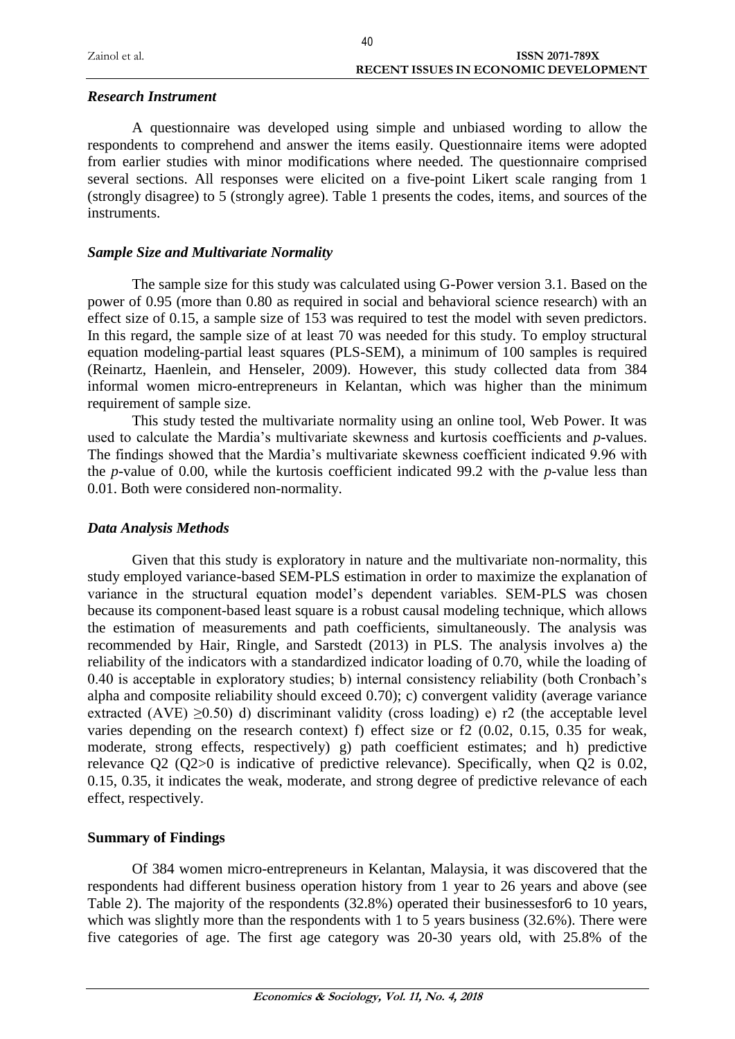|               | 40                                           |
|---------------|----------------------------------------------|
| Zainol et al. | <b>ISSN 2071-789X</b>                        |
|               | <b>RECENT ISSUES IN ECONOMIC DEVELOPMENT</b> |
|               |                                              |

## *Research Instrument*

A questionnaire was developed using simple and unbiased wording to allow the respondents to comprehend and answer the items easily. Questionnaire items were adopted from earlier studies with minor modifications where needed. The questionnaire comprised several sections. All responses were elicited on a five-point Likert scale ranging from 1 (strongly disagree) to 5 (strongly agree). Table 1 presents the codes, items, and sources of the instruments.

## *Sample Size and Multivariate Normality*

The sample size for this study was calculated using G-Power version 3.1. Based on the power of 0.95 (more than 0.80 as required in social and behavioral science research) with an effect size of 0.15, a sample size of 153 was required to test the model with seven predictors. In this regard, the sample size of at least 70 was needed for this study. To employ structural equation modeling-partial least squares (PLS-SEM), a minimum of 100 samples is required (Reinartz, Haenlein, and Henseler, 2009). However, this study collected data from 384 informal women micro-entrepreneurs in Kelantan, which was higher than the minimum requirement of sample size.

This study tested the multivariate normality using an online tool, Web Power. It was used to calculate the Mardia's multivariate skewness and kurtosis coefficients and *p-*values. The findings showed that the Mardia's multivariate skewness coefficient indicated 9.96 with the *p*-value of 0.00, while the kurtosis coefficient indicated 99.2 with the *p-*value less than 0.01. Both were considered non-normality.

## *Data Analysis Methods*

Given that this study is exploratory in nature and the multivariate non-normality, this study employed variance-based SEM-PLS estimation in order to maximize the explanation of variance in the structural equation model's dependent variables. SEM-PLS was chosen because its component-based least square is a robust causal modeling technique, which allows the estimation of measurements and path coefficients, simultaneously. The analysis was recommended by Hair, Ringle, and Sarstedt (2013) in PLS. The analysis involves a) the reliability of the indicators with a standardized indicator loading of 0.70, while the loading of 0.40 is acceptable in exploratory studies; b) internal consistency reliability (both Cronbach's alpha and composite reliability should exceed 0.70); c) convergent validity (average variance extracted (AVE)  $>0.50$ ) d) discriminant validity (cross loading) e) r2 (the acceptable level varies depending on the research context) f) effect size or f2 (0.02, 0.15, 0.35 for weak, moderate, strong effects, respectively) g) path coefficient estimates; and h) predictive relevance  $Q2$  ( $Q2>0$  is indicative of predictive relevance). Specifically, when  $Q2$  is 0.02, 0.15, 0.35, it indicates the weak, moderate, and strong degree of predictive relevance of each effect, respectively.

# **Summary of Findings**

Of 384 women micro-entrepreneurs in Kelantan, Malaysia, it was discovered that the respondents had different business operation history from 1 year to 26 years and above (see Table 2). The majority of the respondents (32.8%) operated their businessesfor6 to 10 years, which was slightly more than the respondents with 1 to 5 years business (32.6%). There were five categories of age. The first age category was 20-30 years old, with 25.8% of the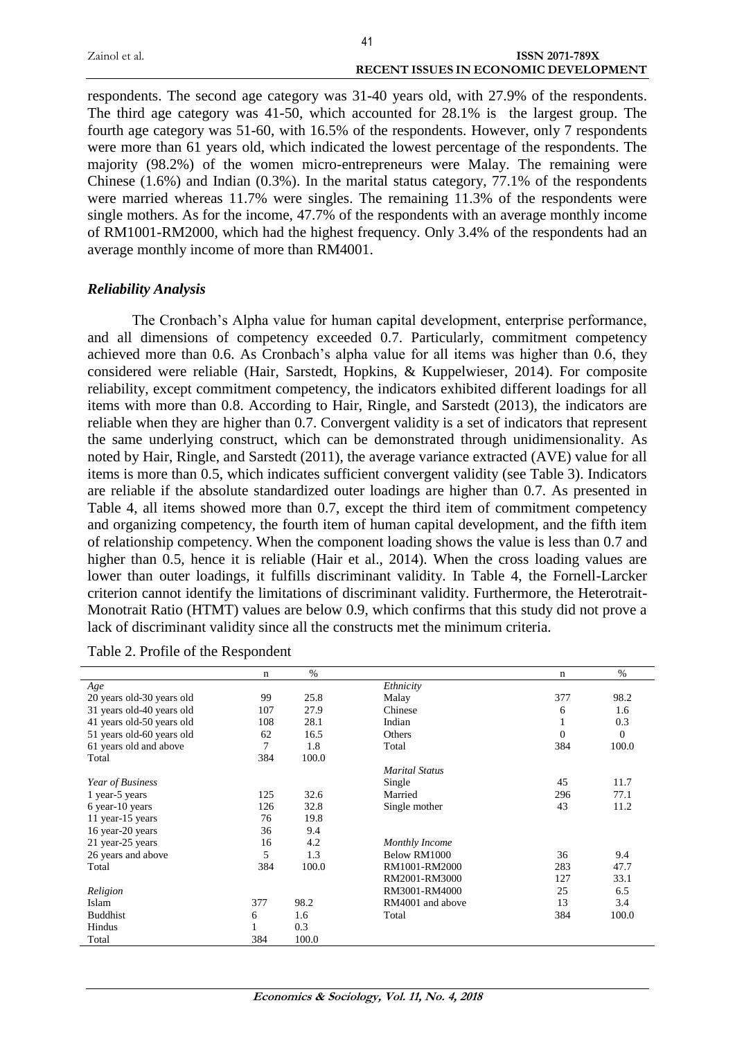| Zainol et al. | ISSN 2071-789X                               |
|---------------|----------------------------------------------|
|               | <b>RECENT ISSUES IN ECONOMIC DEVELOPMENT</b> |

respondents. The second age category was 31-40 years old, with 27.9% of the respondents. The third age category was 41-50, which accounted for 28.1% is the largest group. The fourth age category was 51-60, with 16.5% of the respondents. However, only 7 respondents were more than 61 years old, which indicated the lowest percentage of the respondents. The majority (98.2%) of the women micro-entrepreneurs were Malay. The remaining were Chinese (1.6%) and Indian (0.3%). In the marital status category, 77.1% of the respondents were married whereas 11.7% were singles. The remaining 11.3% of the respondents were single mothers. As for the income, 47.7% of the respondents with an average monthly income of RM1001-RM2000, which had the highest frequency. Only 3.4% of the respondents had an average monthly income of more than RM4001.

#### *Reliability Analysis*

The Cronbach's Alpha value for human capital development, enterprise performance, and all dimensions of competency exceeded 0.7. Particularly, commitment competency achieved more than 0.6. As Cronbach's alpha value for all items was higher than 0.6, they considered were reliable (Hair, Sarstedt, Hopkins, & Kuppelwieser, 2014). For composite reliability, except commitment competency, the indicators exhibited different loadings for all items with more than 0.8. According to Hair, Ringle, and Sarstedt (2013), the indicators are reliable when they are higher than 0.7. Convergent validity is a set of indicators that represent the same underlying construct, which can be demonstrated through unidimensionality. As noted by Hair, Ringle, and Sarstedt (2011), the average variance extracted (AVE) value for all items is more than 0.5, which indicates sufficient convergent validity (see Table 3). Indicators are reliable if the absolute standardized outer loadings are higher than 0.7. As presented in Table 4, all items showed more than 0.7, except the third item of commitment competency and organizing competency, the fourth item of human capital development, and the fifth item of relationship competency. When the component loading shows the value is less than 0.7 and higher than 0.5, hence it is reliable (Hair et al., 2014). When the cross loading values are lower than outer loadings, it fulfills discriminant validity. In Table 4, the Fornell-Larcker criterion cannot identify the limitations of discriminant validity. Furthermore, the Heterotrait-Monotrait Ratio (HTMT) values are below 0.9, which confirms that this study did not prove a lack of discriminant validity since all the constructs met the minimum criteria.

|                           | $\mathbf n$ | $\%$  |                       | $\mathbf n$    | $\%$         |
|---------------------------|-------------|-------|-----------------------|----------------|--------------|
| Age                       |             |       | Ethnicity             |                |              |
| 20 years old-30 years old | 99          | 25.8  | Malay                 | 377            | 98.2         |
| 31 years old-40 years old | 107         | 27.9  | Chinese               | 6              | 1.6          |
| 41 years old-50 years old | 108         | 28.1  | Indian                | 1              | 0.3          |
| 51 years old-60 years old | 62          | 16.5  | Others                | $\overline{0}$ | $\mathbf{0}$ |
| 61 years old and above    | 7           | 1.8   | Total                 | 384            | 100.0        |
| Total                     | 384         | 100.0 |                       |                |              |
|                           |             |       | <b>Marital Status</b> |                |              |
| Year of Business          |             |       | Single                | 45             | 11.7         |
| 1 year-5 years            | 125         | 32.6  | Married               | 296            | 77.1         |
| 6 year-10 years           | 126         | 32.8  | Single mother         | 43             | 11.2         |
| 11 year-15 years          | 76          | 19.8  |                       |                |              |
| 16 year-20 years          | 36          | 9.4   |                       |                |              |
| 21 year-25 years          | 16          | 4.2   | Monthly Income        |                |              |
| 26 years and above        | 5           | 1.3   | Below RM1000          | 36             | 9.4          |
| Total                     | 384         | 100.0 | RM1001-RM2000         | 283            | 47.7         |
|                           |             |       | RM2001-RM3000         | 127            | 33.1         |
| Religion                  |             |       | RM3001-RM4000         | 25             | 6.5          |
| Islam                     | 377         | 98.2  | RM4001 and above      | 13             | 3.4          |
| <b>Buddhist</b>           | 6           | 1.6   | Total                 | 384            | 100.0        |
| Hindus                    | 1           | 0.3   |                       |                |              |
| Total                     | 384         | 100.0 |                       |                |              |

Table 2. Profile of the Respondent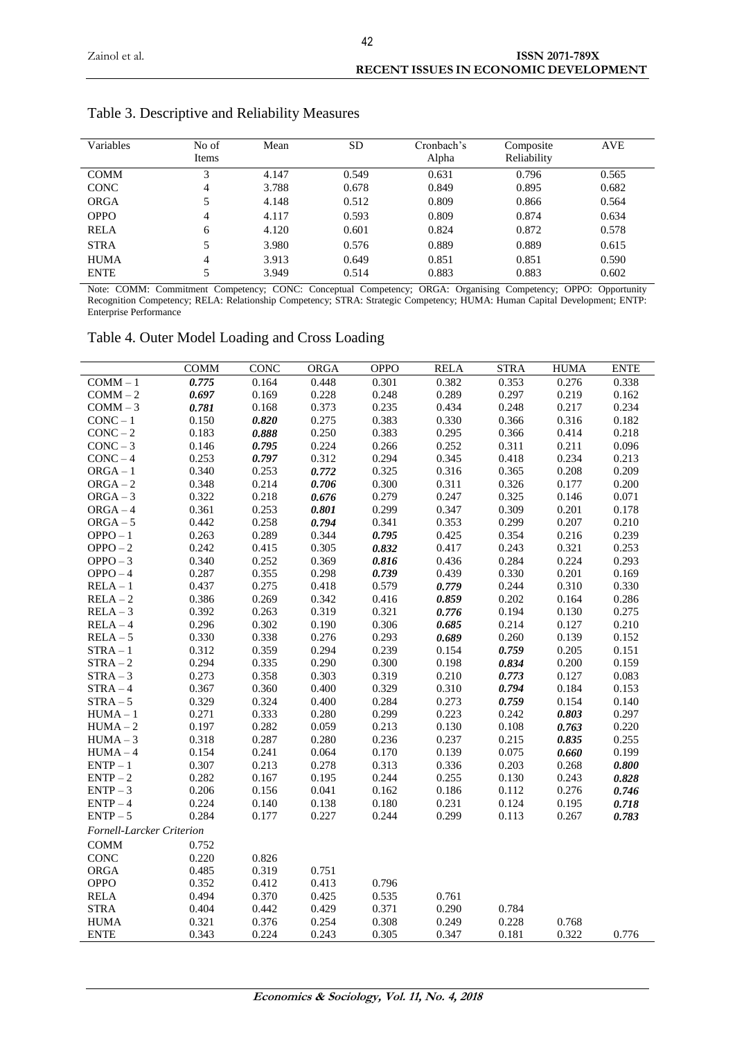| Variables   | No of<br>Items | Mean  | <b>SD</b> | Cronbach's<br>Alpha | Composite<br>Reliability | <b>AVE</b> |
|-------------|----------------|-------|-----------|---------------------|--------------------------|------------|
| <b>COMM</b> | 3              | 4.147 | 0.549     | 0.631               | 0.796                    | 0.565      |
| <b>CONC</b> | 4              | 3.788 | 0.678     | 0.849               | 0.895                    | 0.682      |
| <b>ORGA</b> |                | 4.148 | 0.512     | 0.809               | 0.866                    | 0.564      |
| <b>OPPO</b> | 4              | 4.117 | 0.593     | 0.809               | 0.874                    | 0.634      |
| <b>RELA</b> | 6              | 4.120 | 0.601     | 0.824               | 0.872                    | 0.578      |
| <b>STRA</b> |                | 3.980 | 0.576     | 0.889               | 0.889                    | 0.615      |
| <b>HUMA</b> | 4              | 3.913 | 0.649     | 0.851               | 0.851                    | 0.590      |
| <b>ENTE</b> |                | 3.949 | 0.514     | 0.883               | 0.883                    | 0.602      |

# Table 3. Descriptive and Reliability Measures

Note: COMM: Commitment Competency; CONC: Conceptual Competency; ORGA: Organising Competency; OPPO: Opportunity Recognition Competency; RELA: Relationship Competency; STRA: Strategic Competency; HUMA: Human Capital Development; ENTP: Enterprise Performance

#### Table 4. Outer Model Loading and Cross Loading

|                           | <b>COMM</b> | <b>CONC</b> | <b>ORGA</b> | <b>OPPO</b> | <b>RELA</b> | <b>STRA</b> | <b>HUMA</b> | <b>ENTE</b> |
|---------------------------|-------------|-------------|-------------|-------------|-------------|-------------|-------------|-------------|
| $COMM - 1$                | 0.775       | 0.164       | 0.448       | 0.301       | 0.382       | 0.353       | 0.276       | 0.338       |
| $COMM - 2$                | 0.697       | 0.169       | 0.228       | 0.248       | 0.289       | 0.297       | 0.219       | 0.162       |
| $COMM - 3$                | 0.781       | 0.168       | 0.373       | 0.235       | 0.434       | 0.248       | 0.217       | 0.234       |
| $CONC - 1$                | 0.150       | 0.820       | 0.275       | 0.383       | 0.330       | 0.366       | 0.316       | 0.182       |
| $CONC - 2$                | 0.183       | 0.888       | 0.250       | 0.383       | 0.295       | 0.366       | 0.414       | 0.218       |
| $CONC - 3$                | 0.146       | 0.795       | 0.224       | 0.266       | 0.252       | 0.311       | 0.211       | 0.096       |
| $CONC - 4$                | 0.253       | 0.797       | 0.312       | 0.294       | 0.345       | 0.418       | 0.234       | 0.213       |
| $ORGA - 1$                | 0.340       | 0.253       | 0.772       | 0.325       | 0.316       | 0.365       | 0.208       | 0.209       |
| $ORGA - 2$                | 0.348       | 0.214       | 0.706       | 0.300       | 0.311       | 0.326       | 0.177       | 0.200       |
| $ORGA - 3$                | 0.322       | 0.218       | 0.676       | 0.279       | 0.247       | 0.325       | 0.146       | 0.071       |
| $ORGA - 4$                | 0.361       | 0.253       | 0.801       | 0.299       | 0.347       | 0.309       | 0.201       | 0.178       |
| $ORGA - 5$                | 0.442       | 0.258       | 0.794       | 0.341       | 0.353       | 0.299       | 0.207       | 0.210       |
| $OPPO-1$                  | 0.263       | 0.289       | 0.344       | 0.795       | 0.425       | 0.354       | 0.216       | 0.239       |
| $OPPO-2$                  | 0.242       | 0.415       | 0.305       | 0.832       | 0.417       | 0.243       | 0.321       | 0.253       |
| $OPPO-3$                  | 0.340       | 0.252       | 0.369       | 0.816       | 0.436       | 0.284       | 0.224       | 0.293       |
| $OPPO-4$                  | 0.287       | 0.355       | 0.298       | 0.739       | 0.439       | 0.330       | 0.201       | 0.169       |
| $RELA - 1$                | 0.437       | 0.275       | 0.418       | 0.579       | 0.779       | 0.244       | 0.310       | 0.330       |
| $RELA - 2$                | 0.386       | 0.269       | 0.342       | 0.416       | 0.859       | 0.202       | 0.164       | 0.286       |
| $RELA - 3$                | 0.392       | 0.263       | 0.319       | 0.321       | 0.776       | 0.194       | 0.130       | 0.275       |
| $RELA - 4$                | 0.296       | 0.302       | 0.190       | 0.306       | 0.685       | 0.214       | 0.127       | 0.210       |
| $RELA - 5$                | 0.330       | 0.338       | 0.276       | 0.293       | 0.689       | 0.260       | 0.139       | 0.152       |
| $STRA - 1$                | 0.312       | 0.359       | 0.294       | 0.239       | 0.154       | 0.759       | 0.205       | 0.151       |
| $STRA - 2$                | 0.294       | 0.335       | 0.290       | 0.300       | 0.198       | 0.834       | 0.200       | 0.159       |
| $STRA - 3$                | 0.273       | 0.358       | 0.303       | 0.319       | 0.210       | 0.773       | 0.127       | 0.083       |
| $STRA - 4$                | 0.367       | 0.360       | 0.400       | 0.329       | 0.310       | 0.794       | 0.184       | 0.153       |
| $STRA - 5$                | 0.329       | 0.324       | 0.400       | 0.284       | 0.273       | 0.759       | 0.154       | 0.140       |
| $HUMA - 1$                | 0.271       | 0.333       | 0.280       | 0.299       | 0.223       | 0.242       | 0.803       | 0.297       |
| $HUMA - 2$                | 0.197       | 0.282       | 0.059       | 0.213       | 0.130       | 0.108       | 0.763       | 0.220       |
| $HUMA - 3$                | 0.318       | 0.287       | 0.280       | 0.236       | 0.237       | 0.215       | 0.835       | 0.255       |
| $HUMA - 4$                | 0.154       | 0.241       | 0.064       | 0.170       | 0.139       | 0.075       | 0.660       | 0.199       |
| $ENTP - 1$                | 0.307       | 0.213       | 0.278       | 0.313       | 0.336       | 0.203       | 0.268       | 0.800       |
| $ENTP - 2$                | 0.282       | 0.167       | 0.195       | 0.244       | 0.255       | 0.130       | 0.243       | 0.828       |
| $ENTP-3$                  | 0.206       | 0.156       | 0.041       | 0.162       | 0.186       | 0.112       | 0.276       | 0.746       |
| $ENTP - 4$                | 0.224       | 0.140       | 0.138       | 0.180       | 0.231       | 0.124       | 0.195       | 0.718       |
| $ENTP - 5$                | 0.284       | 0.177       | 0.227       | 0.244       | 0.299       | 0.113       | 0.267       | 0.783       |
| Fornell-Larcker Criterion |             |             |             |             |             |             |             |             |
| COMM                      | 0.752       |             |             |             |             |             |             |             |
| CONC                      | 0.220       | 0.826       |             |             |             |             |             |             |
| <b>ORGA</b>               | 0.485       | 0.319       | 0.751       |             |             |             |             |             |
| OPPO                      | 0.352       | 0.412       | 0.413       | 0.796       |             |             |             |             |
| <b>RELA</b>               | 0.494       | 0.370       | 0.425       | 0.535       | 0.761       |             |             |             |
| <b>STRA</b>               | 0.404       | 0.442       | 0.429       | 0.371       | 0.290       | 0.784       |             |             |
| <b>HUMA</b>               | 0.321       | 0.376       | 0.254       | 0.308       | 0.249       | 0.228       | 0.768       |             |
| <b>ENTE</b>               | 0.343       | 0.224       | 0.243       | 0.305       | 0.347       | 0.181       | 0.322       | 0.776       |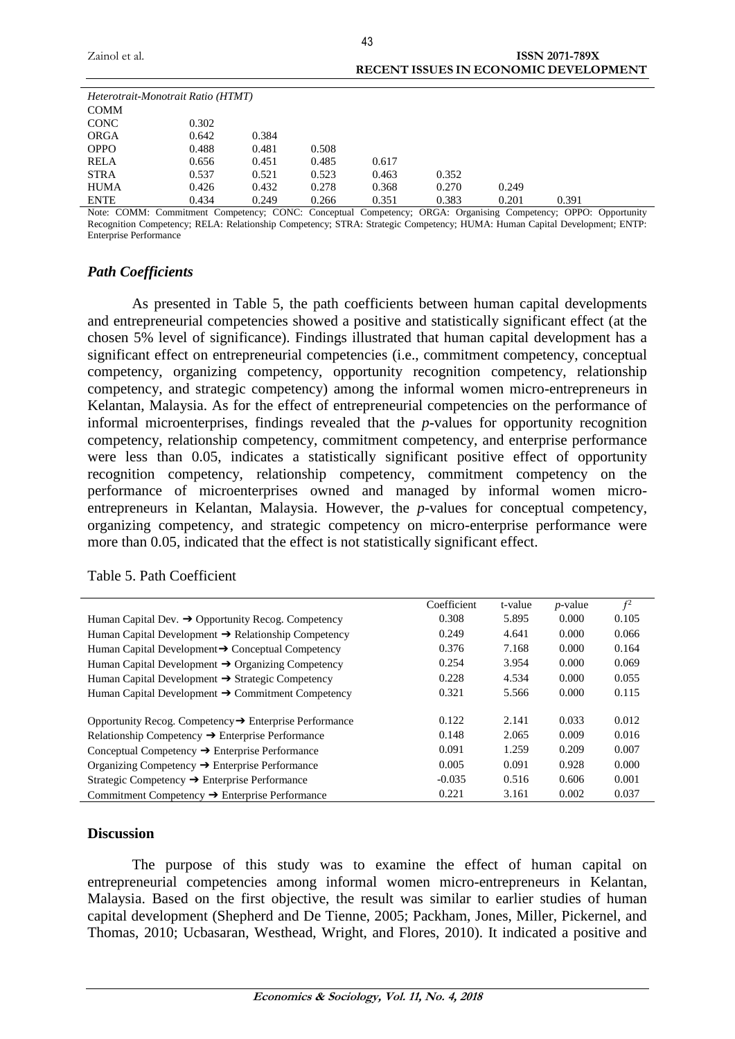| Heterotrait-Monotrait Ratio (HTMT) |       |       |       |       |       |                                                                                                                |       |  |
|------------------------------------|-------|-------|-------|-------|-------|----------------------------------------------------------------------------------------------------------------|-------|--|
| <b>COMM</b>                        |       |       |       |       |       |                                                                                                                |       |  |
| <b>CONC</b>                        | 0.302 |       |       |       |       |                                                                                                                |       |  |
| <b>ORGA</b>                        | 0.642 | 0.384 |       |       |       |                                                                                                                |       |  |
| <b>OPPO</b>                        | 0.488 | 0.481 | 0.508 |       |       |                                                                                                                |       |  |
| <b>RELA</b>                        | 0.656 | 0.451 | 0.485 | 0.617 |       |                                                                                                                |       |  |
| <b>STRA</b>                        | 0.537 | 0.521 | 0.523 | 0.463 | 0.352 |                                                                                                                |       |  |
| <b>HUMA</b>                        | 0.426 | 0.432 | 0.278 | 0.368 | 0.270 | 0.249                                                                                                          |       |  |
| <b>ENTE</b>                        | 0.434 | 0.249 | 0.266 | 0.351 | 0.383 | 0.201                                                                                                          | 0.391 |  |
|                                    |       |       |       |       |       | Note: COMM: Commitment Competency; CONC: Conceptual Competency; ORGA: Organising Competency; OPPO: Opportunity |       |  |

Recognition Competency; RELA: Relationship Competency; STRA: Strategic Competency; HUMA: Human Capital Development; ENTP: Enterprise Performance

## *Path Coefficients*

As presented in Table 5, the path coefficients between human capital developments and entrepreneurial competencies showed a positive and statistically significant effect (at the chosen 5% level of significance). Findings illustrated that human capital development has a significant effect on entrepreneurial competencies (i.e., commitment competency, conceptual competency, organizing competency, opportunity recognition competency, relationship competency, and strategic competency) among the informal women micro-entrepreneurs in Kelantan, Malaysia. As for the effect of entrepreneurial competencies on the performance of informal microenterprises, findings revealed that the *p*-values for opportunity recognition competency, relationship competency, commitment competency, and enterprise performance were less than 0.05, indicates a statistically significant positive effect of opportunity recognition competency, relationship competency, commitment competency on the performance of microenterprises owned and managed by informal women microentrepreneurs in Kelantan, Malaysia. However, the *p*-values for conceptual competency, organizing competency, and strategic competency on micro-enterprise performance were more than 0.05, indicated that the effect is not statistically significant effect.

|                                                                    | Coefficient | t-value | $p$ -value | f <sup>2</sup> |
|--------------------------------------------------------------------|-------------|---------|------------|----------------|
| Human Capital Dev. $\rightarrow$ Opportunity Recog. Competency     | 0.308       | 5.895   | 0.000      | 0.105          |
| Human Capital Development $\rightarrow$ Relationship Competency    | 0.249       | 4.641   | 0.000      | 0.066          |
| Human Capital Development→ Conceptual Competency                   | 0.376       | 7.168   | 0.000      | 0.164          |
| Human Capital Development $\rightarrow$ Organizing Competency      | 0.254       | 3.954   | 0.000      | 0.069          |
| Human Capital Development $\rightarrow$ Strategic Competency       | 0.228       | 4.534   | 0.000      | 0.055          |
| Human Capital Development $\rightarrow$ Commitment Competency      | 0.321       | 5.566   | 0.000      | 0.115          |
|                                                                    |             |         |            |                |
| Opportunity Recog. Competency $\rightarrow$ Enterprise Performance | 0.122       | 2.141   | 0.033      | 0.012          |
| Relationship Competency $\rightarrow$ Enterprise Performance       | 0.148       | 2.065   | 0.009      | 0.016          |
| Conceptual Competency $\rightarrow$ Enterprise Performance         | 0.091       | 1.259   | 0.209      | 0.007          |
| Organizing Competency $\rightarrow$ Enterprise Performance         | 0.005       | 0.091   | 0.928      | 0.000          |
| Strategic Competency $\rightarrow$ Enterprise Performance          | $-0.035$    | 0.516   | 0.606      | 0.001          |
| Commitment Competency $\rightarrow$ Enterprise Performance         | 0.221       | 3.161   | 0.002      | 0.037          |

#### Table 5. Path Coefficient

#### **Discussion**

The purpose of this study was to examine the effect of human capital on entrepreneurial competencies among informal women micro-entrepreneurs in Kelantan, Malaysia. Based on the first objective, the result was similar to earlier studies of human capital development (Shepherd and De Tienne, 2005; Packham, Jones, Miller, Pickernel, and Thomas, 2010; Ucbasaran, Westhead, Wright, and Flores, 2010). It indicated a positive and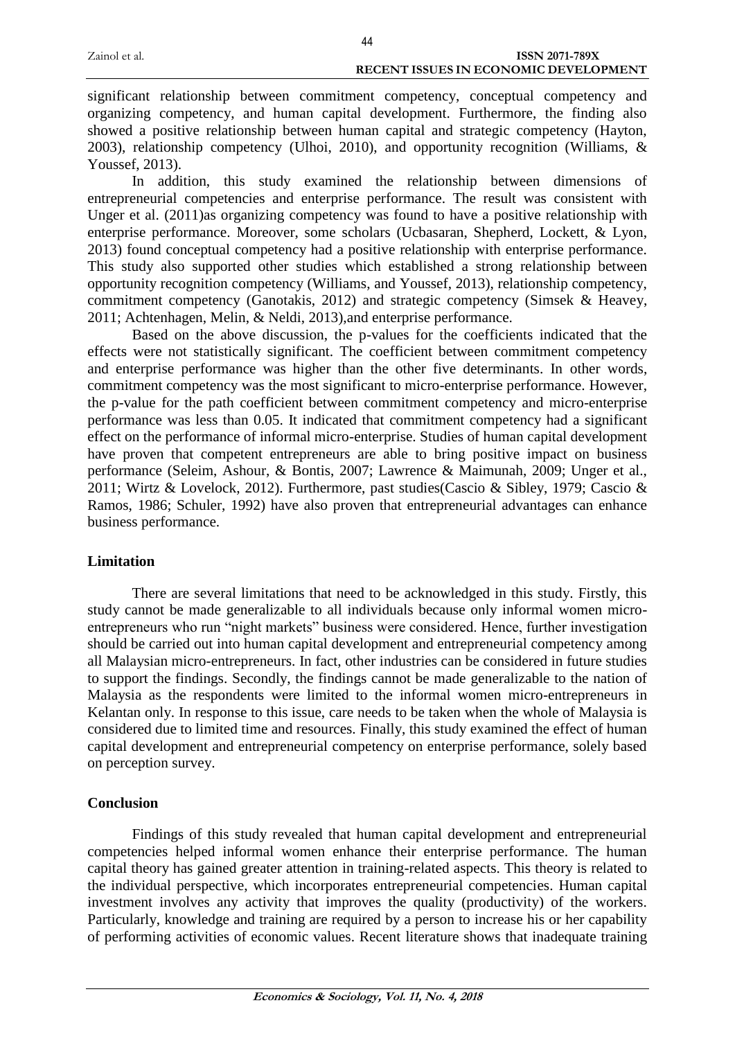significant relationship between commitment competency, conceptual competency and organizing competency, and human capital development. Furthermore, the finding also showed a positive relationship between human capital and strategic competency (Hayton, 2003), relationship competency (Ulhoi, 2010), and opportunity recognition (Williams, & Youssef, 2013).

In addition, this study examined the relationship between dimensions of entrepreneurial competencies and enterprise performance. The result was consistent with Unger et al. (2011)as organizing competency was found to have a positive relationship with enterprise performance. Moreover, some scholars (Ucbasaran, Shepherd, Lockett, & Lyon, 2013) found conceptual competency had a positive relationship with enterprise performance. This study also supported other studies which established a strong relationship between opportunity recognition competency (Williams, and Youssef, 2013), relationship competency, commitment competency (Ganotakis, 2012) and strategic competency (Simsek & Heavey, 2011; Achtenhagen, Melin, & Neldi, 2013),and enterprise performance.

Based on the above discussion, the p-values for the coefficients indicated that the effects were not statistically significant. The coefficient between commitment competency and enterprise performance was higher than the other five determinants. In other words, commitment competency was the most significant to micro-enterprise performance. However, the p-value for the path coefficient between commitment competency and micro-enterprise performance was less than 0.05. It indicated that commitment competency had a significant effect on the performance of informal micro-enterprise. Studies of human capital development have proven that competent entrepreneurs are able to bring positive impact on business performance (Seleim, Ashour, & Bontis, 2007; Lawrence & Maimunah, 2009; Unger et al., 2011; Wirtz & Lovelock, 2012). Furthermore, past studies(Cascio & Sibley, 1979; Cascio & Ramos, 1986; Schuler, 1992) have also proven that entrepreneurial advantages can enhance business performance.

# **Limitation**

There are several limitations that need to be acknowledged in this study. Firstly, this study cannot be made generalizable to all individuals because only informal women microentrepreneurs who run "night markets" business were considered. Hence, further investigation should be carried out into human capital development and entrepreneurial competency among all Malaysian micro-entrepreneurs. In fact, other industries can be considered in future studies to support the findings. Secondly, the findings cannot be made generalizable to the nation of Malaysia as the respondents were limited to the informal women micro-entrepreneurs in Kelantan only. In response to this issue, care needs to be taken when the whole of Malaysia is considered due to limited time and resources. Finally, this study examined the effect of human capital development and entrepreneurial competency on enterprise performance, solely based on perception survey.

## **Conclusion**

Findings of this study revealed that human capital development and entrepreneurial competencies helped informal women enhance their enterprise performance. The human capital theory has gained greater attention in training-related aspects. This theory is related to the individual perspective, which incorporates entrepreneurial competencies. Human capital investment involves any activity that improves the quality (productivity) of the workers. Particularly, knowledge and training are required by a person to increase his or her capability of performing activities of economic values. Recent literature shows that inadequate training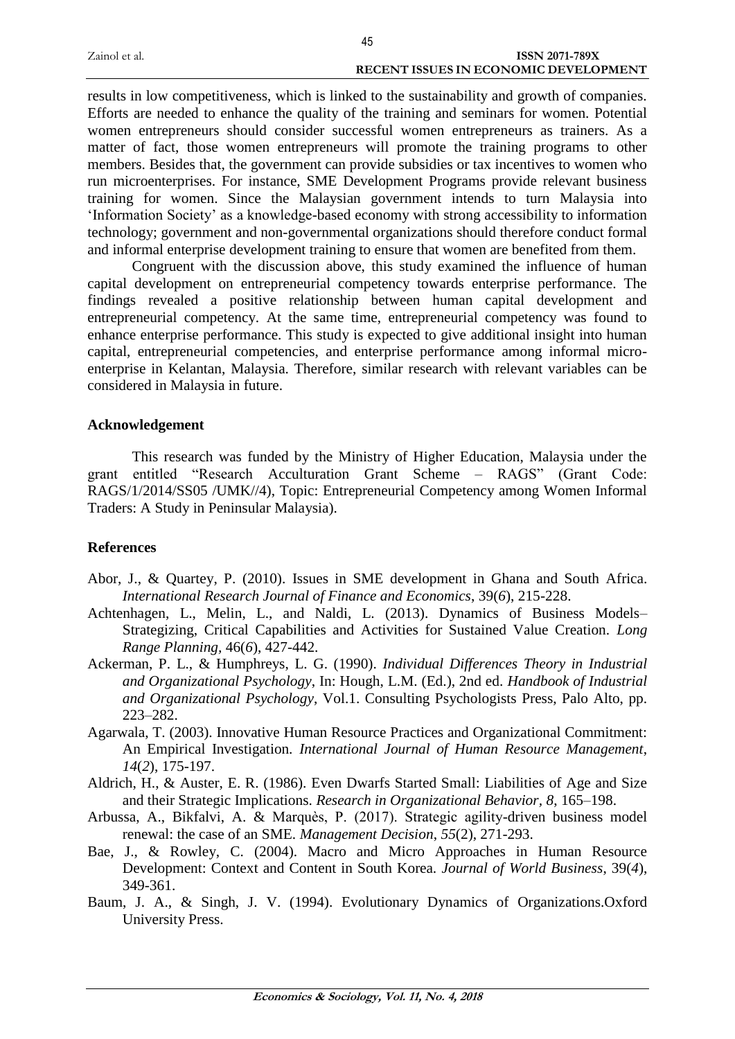|               | 45                                           |  |
|---------------|----------------------------------------------|--|
| Zainol et al. | <b>ISSN 2071-789X</b>                        |  |
|               | <b>RECENT ISSUES IN ECONOMIC DEVELOPMENT</b> |  |

results in low competitiveness, which is linked to the sustainability and growth of companies. Efforts are needed to enhance the quality of the training and seminars for women. Potential women entrepreneurs should consider successful women entrepreneurs as trainers. As a matter of fact, those women entrepreneurs will promote the training programs to other members. Besides that, the government can provide subsidies or tax incentives to women who run microenterprises. For instance, SME Development Programs provide relevant business training for women. Since the Malaysian government intends to turn Malaysia into 'Information Society' as a knowledge-based economy with strong accessibility to information technology; government and non-governmental organizations should therefore conduct formal and informal enterprise development training to ensure that women are benefited from them.

Congruent with the discussion above, this study examined the influence of human capital development on entrepreneurial competency towards enterprise performance. The findings revealed a positive relationship between human capital development and entrepreneurial competency. At the same time, entrepreneurial competency was found to enhance enterprise performance. This study is expected to give additional insight into human capital, entrepreneurial competencies, and enterprise performance among informal microenterprise in Kelantan, Malaysia. Therefore, similar research with relevant variables can be considered in Malaysia in future.

#### **Acknowledgement**

This research was funded by the Ministry of Higher Education, Malaysia under the grant entitled "Research Acculturation Grant Scheme – RAGS" (Grant Code: RAGS/1/2014/SS05 /UMK//4), Topic: Entrepreneurial Competency among Women Informal Traders: A Study in Peninsular Malaysia).

## **References**

- Abor, J., & Quartey, P. (2010). Issues in SME development in Ghana and South Africa. *International Research Journal of Finance and Economics*, 39(*6*), 215-228.
- Achtenhagen, L., Melin, L., and Naldi, L. (2013). Dynamics of Business Models– Strategizing, Critical Capabilities and Activities for Sustained Value Creation. *Long Range Planning,* 46(*6*), 427-442.
- Ackerman, P. L., & Humphreys, L. G. (1990). *Individual Differences Theory in Industrial and Organizational Psychology*, In: Hough, L.M. (Ed.), 2nd ed. *Handbook of Industrial and Organizational Psychology*, Vol.1. Consulting Psychologists Press, Palo Alto, pp. 223–282.
- Agarwala, T. (2003). Innovative Human Resource Practices and Organizational Commitment: An Empirical Investigation*. International Journal of Human Resource Management*, *14*(*2*), 175-197.
- Aldrich, H., & Auster, E. R. (1986). Even Dwarfs Started Small: Liabilities of Age and Size and their Strategic Implications. *Research in Organizational Behavior, 8*, 165–198.
- Arbussa, A., Bikfalvi, A. & Marquès, P. (2017). Strategic agility-driven business model renewal: the case of an SME. *Management Decision*, *55*(2), 271-293.
- Bae, J., & Rowley, C. (2004). Macro and Micro Approaches in Human Resource Development: Context and Content in South Korea. *Journal of World Business*, 39(*4*), 349-361.
- Baum, J. A., & Singh, J. V. (1994). Evolutionary Dynamics of Organizations.Oxford University Press.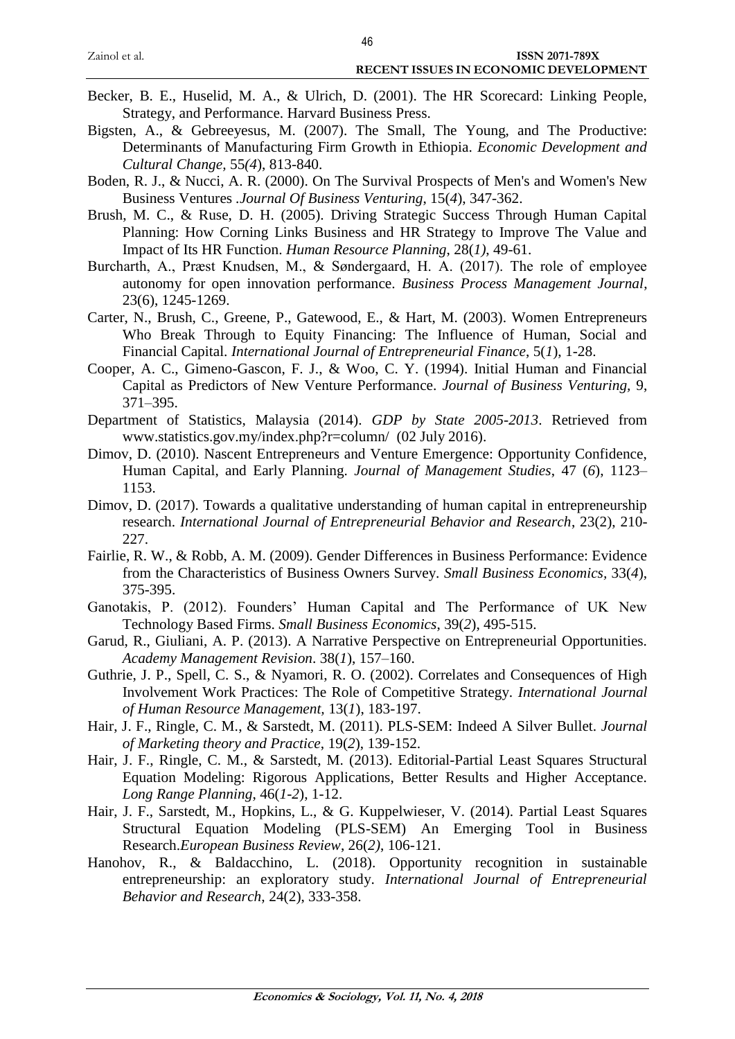- Becker, B. E., Huselid, M. A., & Ulrich, D. (2001). The HR Scorecard: Linking People, Strategy, and Performance. Harvard Business Press.
- Bigsten, A., & Gebreeyesus, M. (2007). The Small, The Young, and The Productive: Determinants of Manufacturing Firm Growth in Ethiopia. *Economic Development and Cultural Change,* 55*(4*), 813-840.
- Boden, R. J., & Nucci, A. R. (2000). On The Survival Prospects of Men's and Women's New Business Ventures *.Journal Of Business Venturing*, 15(*4*), 347-362.
- Brush, M. C., & Ruse, D. H. (2005). Driving Strategic Success Through Human Capital Planning: How Corning Links Business and HR Strategy to Improve The Value and Impact of Its HR Function. *Human Resource Planning*, 28(*1)*, 49-61.
- Burcharth, A., Præst Knudsen, M., & Søndergaard, H. A. (2017). The role of employee autonomy for open innovation performance. *Business Process Management Journal*, 23(6), 1245-1269.
- Carter, N., Brush, C., Greene, P., Gatewood, E., & Hart, M. (2003). Women Entrepreneurs Who Break Through to Equity Financing: The Influence of Human, Social and Financial Capital. *International Journal of Entrepreneurial Finance*, 5(*1*), 1-28.
- Cooper, A. C., Gimeno-Gascon, F. J., & Woo, C. Y. (1994). Initial Human and Financial Capital as Predictors of New Venture Performance. *Journal of Business Venturing,* 9, 371–395.
- Department of Statistics, Malaysia (2014). *GDP by State 2005-2013*. Retrieved from www.statistics.gov.my/index.php?r=column/ (02 July 2016).
- Dimov, D. (2010). Nascent Entrepreneurs and Venture Emergence: Opportunity Confidence, Human Capital, and Early Planning. *Journal of Management Studies*, 47 (*6*), 1123– 1153.
- Dimov, D. (2017). Towards a qualitative understanding of human capital in entrepreneurship research. *International Journal of Entrepreneurial Behavior and Research*, 23(2), 210- 227.
- Fairlie, R. W., & Robb, A. M. (2009). Gender Differences in Business Performance: Evidence from the Characteristics of Business Owners Survey. *Small Business Economics,* 33(*4*), 375-395.
- Ganotakis, P. (2012). Founders' Human Capital and The Performance of UK New Technology Based Firms. *Small Business Economics*, 39(*2*), 495-515.
- Garud, R., Giuliani, A. P. (2013). A Narrative Perspective on Entrepreneurial Opportunities. *Academy Management Revision*. 38(*1*), 157–160.
- Guthrie, J. P., Spell, C. S., & Nyamori, R. O. (2002). Correlates and Consequences of High Involvement Work Practices: The Role of Competitive Strategy. *International Journal of Human Resource Management,* 13(*1*), 183-197.
- Hair, J. F., Ringle, C. M., & Sarstedt, M. (2011). PLS-SEM: Indeed A Silver Bullet. *Journal of Marketing theory and Practice*, 19(*2*), 139-152.
- Hair, J. F., Ringle, C. M., & Sarstedt, M. (2013). Editorial-Partial Least Squares Structural Equation Modeling: Rigorous Applications, Better Results and Higher Acceptance. *Long Range Planning*, 46(*1-2*), 1-12.
- Hair, J. F., Sarstedt, M., Hopkins, L., & G. Kuppelwieser, V. (2014). Partial Least Squares Structural Equation Modeling (PLS-SEM) An Emerging Tool in Business Research.*European Business Review*, 26(*2)*, 106-121.
- Hanohov, R., & Baldacchino, L. (2018). Opportunity recognition in sustainable entrepreneurship: an exploratory study. *International Journal of Entrepreneurial Behavior and Research*, 24(2), 333-358.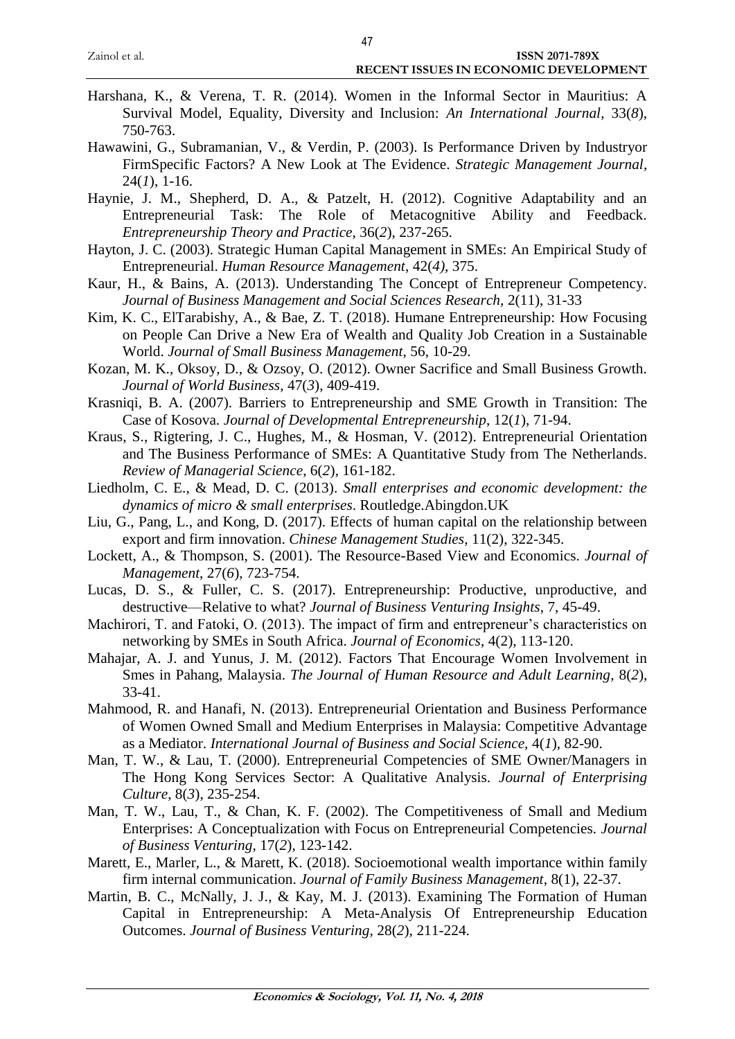- Harshana, K., & Verena, T. R. (2014). Women in the Informal Sector in Mauritius: A Survival Model, Equality, Diversity and Inclusion: *An International Journal*, 33(*8*), 750-763.
- Hawawini, G., Subramanian, V., & Verdin, P. (2003). Is Performance Driven by Industryor FirmSpecific Factors? A New Look at The Evidence. *Strategic Management Journal*, 24(*1*), 1-16.
- Haynie, J. M., Shepherd, D. A., & Patzelt, H. (2012). Cognitive Adaptability and an Entrepreneurial Task: The Role of Metacognitive Ability and Feedback. *Entrepreneurship Theory and Practice*, 36(*2*), 237-265.
- Hayton, J. C. (2003). Strategic Human Capital Management in SMEs: An Empirical Study of Entrepreneurial. *Human Resource Management*, 42(*4)*, 375.
- Kaur, H., & Bains, A. (2013). Understanding The Concept of Entrepreneur Competency. *Journal of Business Management and Social Sciences Research,* 2(11), 31-33
- Kim, K. C., ElTarabishy, A., & Bae, Z. T. (2018). Humane Entrepreneurship: How Focusing on People Can Drive a New Era of Wealth and Quality Job Creation in a Sustainable World. *Journal of Small Business Management*, 56, 10-29.
- Kozan, M. K., Oksoy, D., & Ozsoy, O. (2012). Owner Sacrifice and Small Business Growth. *Journal of World Business*, 47(*3*), 409-419.
- Krasniqi, B. A. (2007). Barriers to Entrepreneurship and SME Growth in Transition: The Case of Kosova. *Journal of Developmental Entrepreneurship*, 12(*1*), 71-94.
- Kraus, S., Rigtering, J. C., Hughes, M., & Hosman, V. (2012). Entrepreneurial Orientation and The Business Performance of SMEs: A Quantitative Study from The Netherlands. *Review of Managerial Science*, 6(*2*), 161-182.
- Liedholm, C. E., & Mead, D. C. (2013). *Small enterprises and economic development: the dynamics of micro & small enterprises*. Routledge.Abingdon.UK
- Liu, G., Pang, L., and Kong, D. (2017). Effects of human capital on the relationship between export and firm innovation. *Chinese Management Studies*, 11(2), 322-345.
- Lockett, A., & Thompson, S. (2001). The Resource-Based View and Economics. *Journal of Management*, 27(*6*), 723-754.
- Lucas, D. S., & Fuller, C. S. (2017). Entrepreneurship: Productive, unproductive, and destructive—Relative to what? *Journal of Business Venturing Insights*, 7, 45-49.
- Machirori, T. and Fatoki, O. (2013). The impact of firm and entrepreneur's characteristics on networking by SMEs in South Africa. *Journal of Economics*, 4(2), 113-120.
- Mahajar, A. J. and Yunus, J. M. (2012). Factors That Encourage Women Involvement in Smes in Pahang, Malaysia. *The Journal of Human Resource and Adult Learning*, 8(*2*), 33-41.
- Mahmood, R. and Hanafi, N. (2013). Entrepreneurial Orientation and Business Performance of Women Owned Small and Medium Enterprises in Malaysia: Competitive Advantage as a Mediator. *International Journal of Business and Social Science,* 4(*1*), 82-90.
- Man, T. W., & Lau, T. (2000). Entrepreneurial Competencies of SME Owner/Managers in The Hong Kong Services Sector: A Qualitative Analysis. *Journal of Enterprising Culture*, 8(*3*), 235-254.
- Man, T. W., Lau, T., & Chan, K. F. (2002). The Competitiveness of Small and Medium Enterprises: A Conceptualization with Focus on Entrepreneurial Competencies*. Journal of Business Venturing*, 17(*2*), 123-142.
- Marett, E., Marler, L., & Marett, K. (2018). Socioemotional wealth importance within family firm internal communication. *Journal of Family Business Management*, 8(1), 22-37.
- Martin, B. C., McNally, J. J., & Kay, M. J. (2013). Examining The Formation of Human Capital in Entrepreneurship: A Meta-Analysis Of Entrepreneurship Education Outcomes. *Journal of Business Venturing*, 28(*2*), 211-224.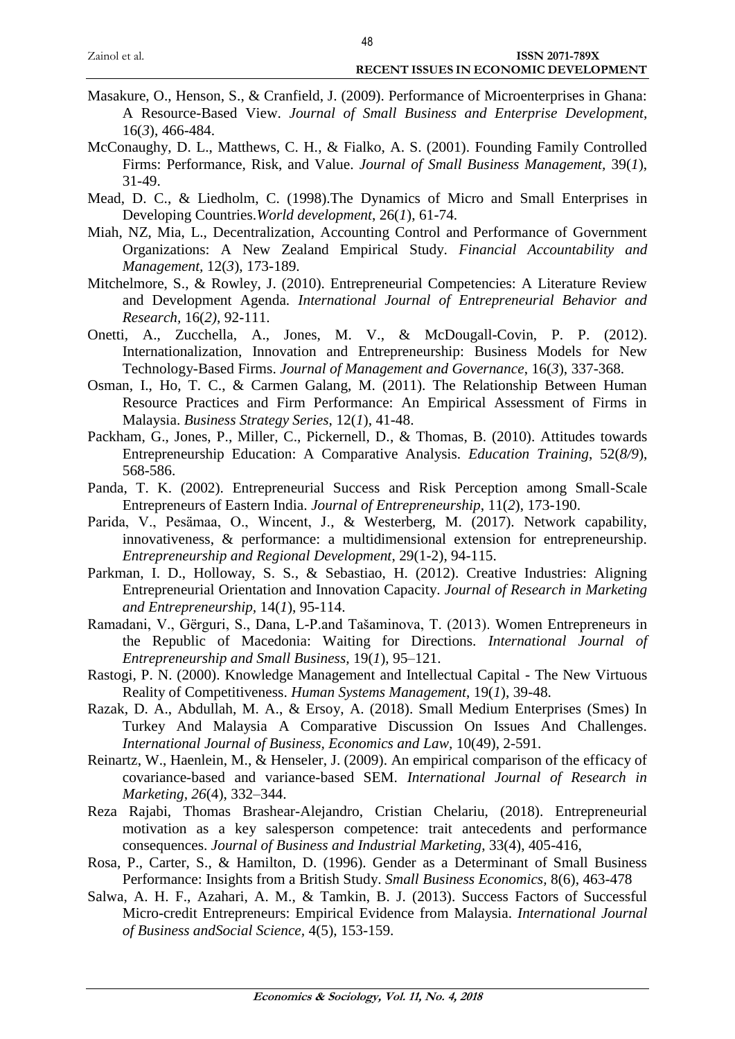- Masakure, O., Henson, S., & Cranfield, J. (2009). Performance of Microenterprises in Ghana: A Resource-Based View. *Journal of Small Business and Enterprise Development,*  16(*3*), 466-484.
- McConaughy, D. L., Matthews, C. H., & Fialko, A. S. (2001). Founding Family Controlled Firms: Performance, Risk, and Value. *Journal of Small Business Management,* 39(*1*), 31-49.
- Mead, D. C., & Liedholm, C. (1998).The Dynamics of Micro and Small Enterprises in Developing Countries.*World development*, 26(*1*), 61-74.
- Miah, NZ, Mia, L., Decentralization, Accounting Control and Performance of Government Organizations: A New Zealand Empirical Study. *Financial Accountability and Management,* 12(*3*), 173-189.
- Mitchelmore, S., & Rowley, J. (2010). Entrepreneurial Competencies: A Literature Review and Development Agenda. *International Journal of Entrepreneurial Behavior and Research,* 16(*2)*, 92-111.
- Onetti, A., Zucchella, A., Jones, M. V., & McDougall-Covin, P. P. (2012). Internationalization, Innovation and Entrepreneurship: Business Models for New Technology-Based Firms. *Journal of Management and Governance*, 16(*3*), 337-368.
- Osman, I., Ho, T. C., & Carmen Galang, M. (2011). The Relationship Between Human Resource Practices and Firm Performance: An Empirical Assessment of Firms in Malaysia. *Business Strategy Series*, 12(*1*), 41-48.
- Packham, G., Jones, P., Miller, C., Pickernell, D., & Thomas, B. (2010). Attitudes towards Entrepreneurship Education: A Comparative Analysis. *Education Training*, 52(*8/9*), 568-586.
- Panda, T. K. (2002). Entrepreneurial Success and Risk Perception among Small-Scale Entrepreneurs of Eastern India. *Journal of Entrepreneurship*, 11(*2*), 173-190.
- Parida, V., Pesämaa, O., Wincent, J., & Westerberg, M. (2017). Network capability, innovativeness, & performance: a multidimensional extension for entrepreneurship. *Entrepreneurship and Regional Development*, 29(1-2), 94-115.
- Parkman, I. D., Holloway, S. S., & Sebastiao, H. (2012). Creative Industries: Aligning Entrepreneurial Orientation and Innovation Capacity. *Journal of Research in Marketing and Entrepreneurship,* 14(*1*), 95-114.
- Ramadani, V., Gërguri, S., Dana, L-P.and Tašaminova, T. (2013). Women Entrepreneurs in the Republic of Macedonia: Waiting for Directions. *International Journal of Entrepreneurship and Small Business,* 19(*1*), 95–121.
- Rastogi, P. N. (2000). Knowledge Management and Intellectual Capital The New Virtuous Reality of Competitiveness. *Human Systems Management*, 19(*1*), 39-48.
- Razak, D. A., Abdullah, M. A., & Ersoy, A. (2018). Small Medium Enterprises (Smes) In Turkey And Malaysia A Comparative Discussion On Issues And Challenges. *International Journal of Business, Economics and Law,* 10(49), 2-591.
- Reinartz, W., Haenlein, M., & Henseler, J. (2009). An empirical comparison of the efficacy of covariance-based and variance-based SEM. *International Journal of Research in Marketing, 26*(4), 332–344.
- Reza Rajabi, Thomas Brashear-Alejandro, Cristian Chelariu, (2018). Entrepreneurial motivation as a key salesperson competence: trait antecedents and performance consequences. *Journal of Business and Industrial Marketing*, 33(4), 405-416,
- Rosa, P., Carter, S., & Hamilton, D. (1996). Gender as a Determinant of Small Business Performance: Insights from a British Study. *Small Business Economics,* 8(6), 463-478
- Salwa, A. H. F., Azahari, A. M., & Tamkin, B. J. (2013). Success Factors of Successful Micro-credit Entrepreneurs: Empirical Evidence from Malaysia. *International Journal of Business andSocial Science,* 4(5), 153-159.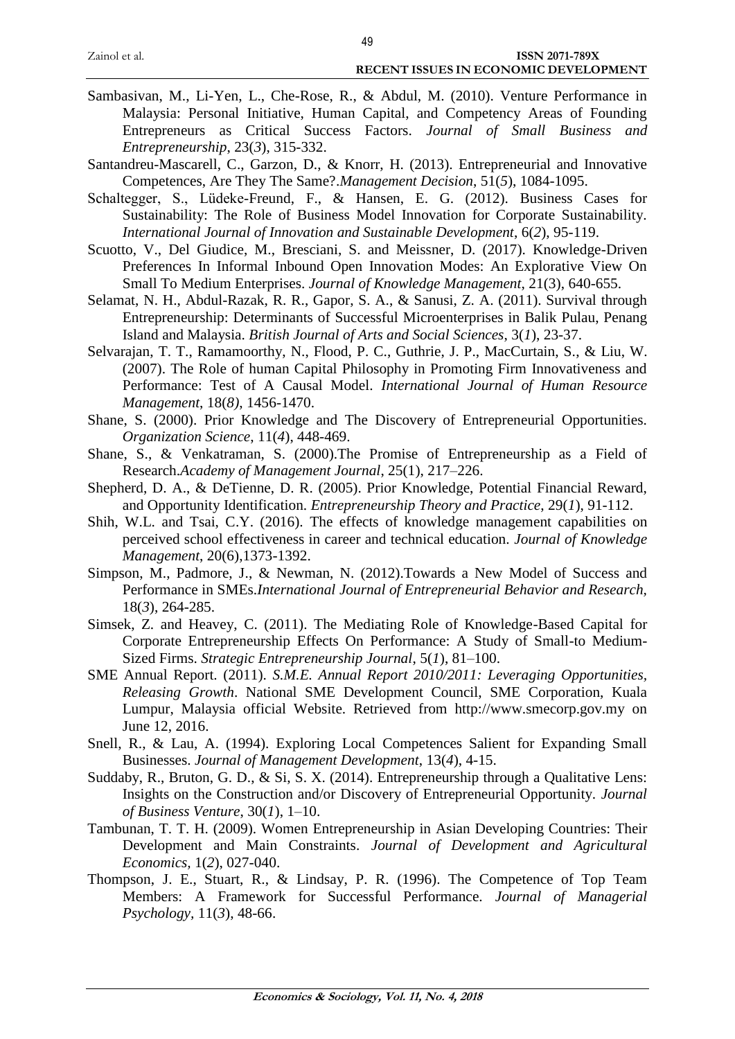- Sambasivan, M., Li-Yen, L., Che-Rose, R., & Abdul, M. (2010). Venture Performance in Malaysia: Personal Initiative, Human Capital, and Competency Areas of Founding Entrepreneurs as Critical Success Factors. *Journal of Small Business and Entrepreneurship*, 23(*3*), 315-332.
- Santandreu-Mascarell, C., Garzon, D., & Knorr, H. (2013). Entrepreneurial and Innovative Competences, Are They The Same?.*Management Decision*, 51(*5*), 1084-1095.
- Schaltegger, S., Lüdeke-Freund, F., & Hansen, E. G. (2012). Business Cases for Sustainability: The Role of Business Model Innovation for Corporate Sustainability. *International Journal of Innovation and Sustainable Development*, 6(*2*), 95-119.
- Scuotto, V., Del Giudice, M., Bresciani, S. and Meissner, D. (2017). Knowledge-Driven Preferences In Informal Inbound Open Innovation Modes: An Explorative View On Small To Medium Enterprises. *Journal of Knowledge Management*, 21(3), 640-655.
- Selamat, N. H., Abdul-Razak, R. R., Gapor, S. A., & Sanusi, Z. A. (2011). Survival through Entrepreneurship: Determinants of Successful Microenterprises in Balik Pulau, Penang Island and Malaysia. *British Journal of Arts and Social Sciences*, 3(*1*), 23-37.
- Selvarajan, T. T., Ramamoorthy, N., Flood, P. C., Guthrie, J. P., MacCurtain, S., & Liu, W. (2007). The Role of human Capital Philosophy in Promoting Firm Innovativeness and Performance: Test of A Causal Model. *International Journal of Human Resource Management*, 18(*8)*, 1456-1470.
- Shane, S. (2000). Prior Knowledge and The Discovery of Entrepreneurial Opportunities. *Organization Science*, 11(*4*), 448-469.
- Shane, S., & Venkatraman, S. (2000).The Promise of Entrepreneurship as a Field of Research.*Academy of Management Journal*, 25(1), 217–226.
- Shepherd, D. A., & DeTienne, D. R. (2005). Prior Knowledge, Potential Financial Reward, and Opportunity Identification. *Entrepreneurship Theory and Practice*, 29(*1*), 91-112.
- Shih, W.L. and Tsai, C.Y. (2016). The effects of knowledge management capabilities on perceived school effectiveness in career and technical education. *Journal of Knowledge Management*, 20(6),1373-1392.
- Simpson, M., Padmore, J., & Newman, N. (2012).Towards a New Model of Success and Performance in SMEs.*International Journal of Entrepreneurial Behavior and Research,*  18(*3*), 264-285.
- Simsek, Z. and Heavey, C. (2011). The Mediating Role of Knowledge-Based Capital for Corporate Entrepreneurship Effects On Performance: A Study of Small-to Medium-Sized Firms. *Strategic Entrepreneurship Journal*, 5(*1*), 81–100.
- SME Annual Report. (2011). *S.M.E. Annual Report 2010/2011: Leveraging Opportunities, Releasing Growth*. National SME Development Council, SME Corporation, Kuala Lumpur, Malaysia official Website. Retrieved from http://www.smecorp.gov.my on June 12, 2016.
- Snell, R., & Lau, A. (1994). Exploring Local Competences Salient for Expanding Small Businesses. *Journal of Management Development*, 13(*4*), 4-15.
- Suddaby, R., Bruton, G. D., & Si, S. X. (2014). Entrepreneurship through a Qualitative Lens: Insights on the Construction and/or Discovery of Entrepreneurial Opportunity. *Journal of Business Venture*, 30(*1*), 1–10.
- Tambunan, T. T. H. (2009). Women Entrepreneurship in Asian Developing Countries: Their Development and Main Constraints. *Journal of Development and Agricultural Economics,* 1(*2*), 027-040.
- Thompson, J. E., Stuart, R., & Lindsay, P. R. (1996). The Competence of Top Team Members: A Framework for Successful Performance. *Journal of Managerial Psychology,* 11(*3*), 48-66.